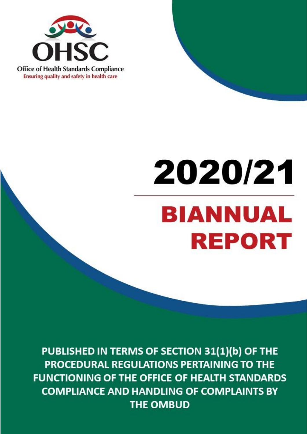

# **PUBLISHED IN TERMS OF SECTION 31(1)(b) OF THE PROCEDURAL REGULATIONS PERTAINING TO THE FUNCTIONING OF THE OFFICE OF HEALTH STANDARDS COMPLETE AND HANDLING OF COMPLAINT** BY THE BILLING OF COMPLETE AND HANDLING OF COMPLETE AND HANDLING OF COMPLETE **OMBUD BIANNUAL REPORT**

PUBLISHED IN TERMS OF SECTION 31(1)(b) OF THE PROCEDURAL REGULATIONS PERTAINING TO THE **FUNCTIONING OF THE OFFICE OF HEALTH STANDARDS COMPLIANCE AND HANDLING OF COMPLAINTS BY THE OMBUD**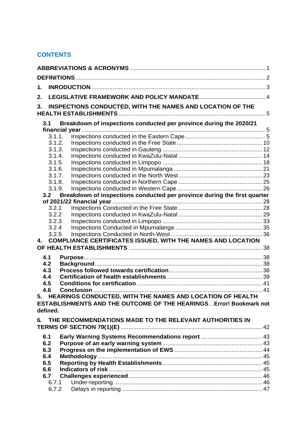# **CONTENTS**

| 1.  |          |                                                                           |  |
|-----|----------|---------------------------------------------------------------------------|--|
| 2.  |          |                                                                           |  |
| 3.  |          | INSPECTIONS CONDUCTED, WITH THE NAMES AND LOCATION OF THE                 |  |
|     |          |                                                                           |  |
|     | 3.1      | Breakdown of inspections conducted per province during the 2020/21        |  |
|     | 3.1.1.   |                                                                           |  |
|     | 3.1.2.   |                                                                           |  |
|     | 3.1.3.   |                                                                           |  |
|     | 3.1.4.   |                                                                           |  |
|     | 3.1.5.   |                                                                           |  |
|     | 3.1.6.   |                                                                           |  |
|     | 3.1.7.   |                                                                           |  |
|     | 3.1.8.   |                                                                           |  |
|     | 3.1.9.   |                                                                           |  |
|     | 3.2      | Breakdown of inspections conducted per province during the first quarter  |  |
|     |          |                                                                           |  |
|     | 3.2.1    |                                                                           |  |
|     | 3.2.2    |                                                                           |  |
|     | 3.2.3    |                                                                           |  |
|     | 3.2.4    |                                                                           |  |
| 4.  | 3.2.5    |                                                                           |  |
|     |          | <b>COMPLIANCE CERTIFICATES ISSUED, WITH THE NAMES AND LOCATION</b>        |  |
|     |          |                                                                           |  |
| 4.1 |          |                                                                           |  |
| 4.2 |          |                                                                           |  |
| 4.3 |          |                                                                           |  |
| 4.4 |          |                                                                           |  |
| 4.5 |          |                                                                           |  |
| 4.6 |          | 5. HEARINGS CONDUCTED, WITH THE NAMES AND LOCATION OF HEALTH              |  |
|     |          | <b>ESTABLISHMENTS AND THE OUTCOME OF THE HEARINGS Error! Bookmark not</b> |  |
|     | defined. |                                                                           |  |
| 6.  |          | THE RECOMMENDATIONS MADE TO THE RELEVANT AUTHORITIES IN                   |  |
|     |          |                                                                           |  |
| 6.1 |          |                                                                           |  |
| 6.2 |          |                                                                           |  |
| 6.3 |          |                                                                           |  |
| 6.4 |          |                                                                           |  |
| 6.5 |          |                                                                           |  |
| 6.6 |          |                                                                           |  |
| 6.7 |          |                                                                           |  |
|     | 6.7.1    |                                                                           |  |
|     | 6.7.2    |                                                                           |  |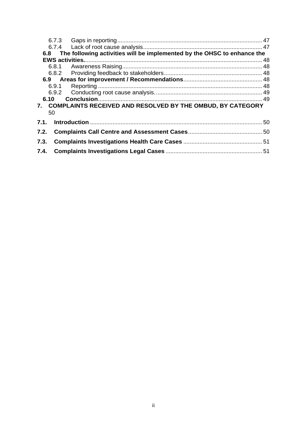| 6.8  |       | The following activities will be implemented by the OHSC to enhance the |
|------|-------|-------------------------------------------------------------------------|
|      |       |                                                                         |
|      |       |                                                                         |
|      |       |                                                                         |
|      |       |                                                                         |
|      | 6.9.1 |                                                                         |
|      |       |                                                                         |
|      | 6.10  |                                                                         |
|      |       | 7. COMPLAINTS RECEIVED AND RESOLVED BY THE OMBUD, BY CATEGORY           |
|      | 50    |                                                                         |
|      |       |                                                                         |
|      |       |                                                                         |
| 7.3. |       |                                                                         |
|      |       |                                                                         |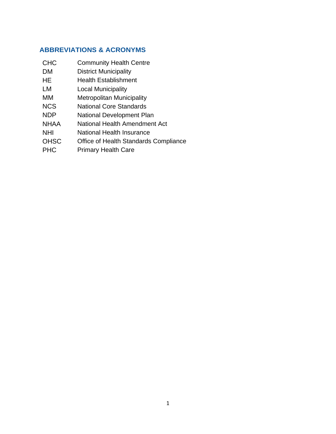# **ABBREVIATIONS & ACRONYMS**

- CHC Community Health Centre
- <span id="page-3-0"></span>DM District Municipality
- HE Health Establishment
- LM Local Municipality
- MM Metropolitan Municipality
- NCS National Core Standards
- NDP National Development Plan
- NHAA National Health Amendment Act
- NHI National Health Insurance
- OHSC Office of Health Standards Compliance
- PHC Primary Health Care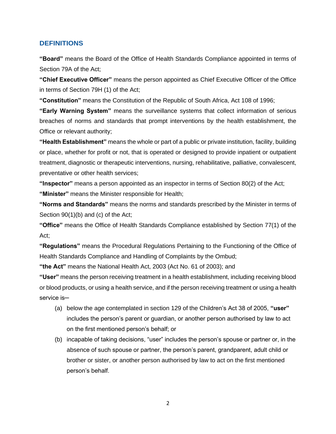#### **DEFINITIONS**

**"Board"** means the Board of the Office of Health Standards Compliance appointed in terms of Section 79A of the Act;

<span id="page-4-0"></span>**"Chief Executive Officer"** means the person appointed as Chief Executive Officer of the Office in terms of Section 79H (1) of the Act;

**"Constitution"** means the Constitution of the Republic of South Africa, Act 108 of 1996;

**"Early Warning System"** means the surveillance systems that collect information of serious breaches of norms and standards that prompt interventions by the health establishment, the Office or relevant authority;

**"Health Establishment"** means the whole or part of a public or private institution, facility, building or place, whether for profit or not, that is operated or designed to provide inpatient or outpatient treatment, diagnostic or therapeutic interventions, nursing, rehabilitative, palliative, convalescent, preventative or other health services;

**"Inspector"** means a person appointed as an inspector in terms of Section 80(2) of the Act; **"Minister"** means the Minister responsible for Health;

**"Norms and Standards"** means the norms and standards prescribed by the Minister in terms of Section 90(1)(b) and (c) of the Act;

**"Office"** means the Office of Health Standards Compliance established by Section 77(1) of the Act;

**"Regulations"** means the Procedural Regulations Pertaining to the Functioning of the Office of Health Standards Compliance and Handling of Complaints by the Ombud;

**"the Act"** means the National Health Act, 2003 (Act No. 61 of 2003); and

**"User"** means the person receiving treatment in a health establishment, including receiving blood or blood products, or using a health service, and if the person receiving treatment or using a health service is-

- (a) below the age contemplated in section 129 of the Children's Act 38 of 2005, **"user"** includes the person's parent or guardian, or another person authorised by law to act on the first mentioned person's behalf; or
- (b) incapable of taking decisions, "user" includes the person's spouse or partner or, in the absence of such spouse or partner, the person's parent, grandparent, adult child or brother or sister, or another person authorised by law to act on the first mentioned person's behalf.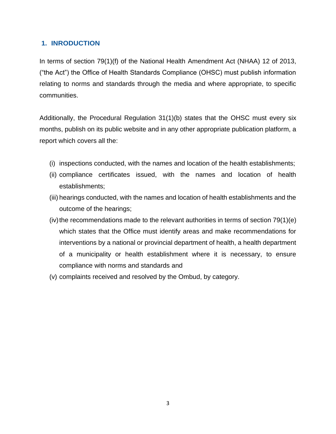# **1. INRODUCTION**

<span id="page-5-0"></span>In terms of section 79(1)(f) of the National Health Amendment Act (NHAA) 12 of 2013, ("the Act") the Office of Health Standards Compliance (OHSC) must publish information relating to norms and standards through the media and where appropriate, to specific communities.

Additionally, the Procedural Regulation 31(1)(b) states that the OHSC must every six months, publish on its public website and in any other appropriate publication platform, a report which covers all the:

- (i) inspections conducted, with the names and location of the health establishments;
- (ii) compliance certificates issued, with the names and location of health establishments;
- (iii) hearings conducted, with the names and location of health establishments and the outcome of the hearings;
- (iv) the recommendations made to the relevant authorities in terms of section  $79(1)(e)$ which states that the Office must identify areas and make recommendations for interventions by a national or provincial department of health, a health department of a municipality or health establishment where it is necessary, to ensure compliance with norms and standards and
- (v) complaints received and resolved by the Ombud, by category.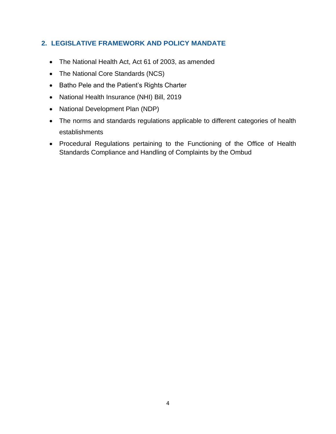# **2. LEGISLATIVE FRAMEWORK AND POLICY MANDATE**

- The National Health Act, Act 61 of 2003, as amended
- <span id="page-6-0"></span>• The National Core Standards (NCS)
- Batho Pele and the Patient's Rights Charter
- National Health Insurance (NHI) Bill, 2019
- National Development Plan (NDP)
- The norms and standards regulations applicable to different categories of health establishments
- Procedural Regulations pertaining to the Functioning of the Office of Health Standards Compliance and Handling of Complaints by the Ombud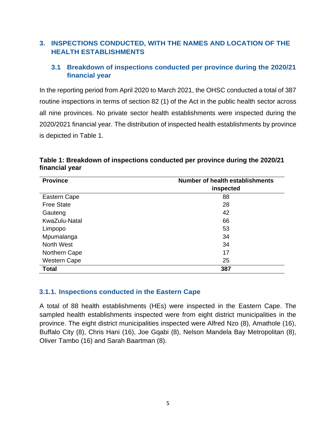# **3. INSPECTIONS CONDUCTED, WITH THE NAMES AND LOCATION OF THE HEALTH ESTABLISHMENTS**

# <span id="page-7-0"></span>**3.1 Breakdown of inspections conducted per province during the 2020/21 financial year**

<span id="page-7-1"></span>In the reporting period from April 2020 to March 2021, the OHSC conducted a total of 387 routine inspections in terms of section 82 (1) of the Act in the public health sector across all nine provinces. No private sector health establishments were inspected during the 2020/2021 financial year. The distribution of inspected health establishments by province is depicted in [Table 1.](#page-7-3)

<span id="page-7-3"></span>

| Table 1: Breakdown of inspections conducted per province during the 2020/21 |  |
|-----------------------------------------------------------------------------|--|
| financial year                                                              |  |

| <b>Province</b>     | <b>Number of health establishments</b> |
|---------------------|----------------------------------------|
|                     | inspected                              |
| Eastern Cape        | 88                                     |
| <b>Free State</b>   | 28                                     |
| Gauteng             | 42                                     |
| KwaZulu-Natal       | 66                                     |
| Limpopo             | 53                                     |
| Mpumalanga          | 34                                     |
| North West          | 34                                     |
| Northern Cape       | 17                                     |
| <b>Western Cape</b> | 25                                     |
| Total               | 387                                    |

#### **3.1.1. Inspections conducted in the Eastern Cape**

<span id="page-7-2"></span>A total of 88 health establishments (HEs) were inspected in the Eastern Cape. The sampled health establishments inspected were from eight district municipalities in the province. The eight district municipalities inspected were Alfred Nzo (8), Amathole (16), Buffalo City (8), Chris Hani (16), Joe Gqabi (8), Nelson Mandela Bay Metropolitan (8), Oliver Tambo (16) and Sarah Baartman (8).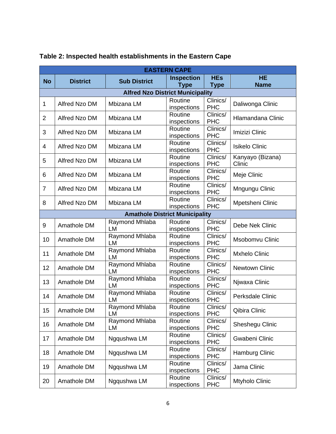|                | <b>EASTERN CAPE</b>                   |                                         |                                  |                                             |                            |  |  |  |
|----------------|---------------------------------------|-----------------------------------------|----------------------------------|---------------------------------------------|----------------------------|--|--|--|
| <b>No</b>      | <b>District</b>                       | <b>Sub District</b>                     | <b>Inspection</b><br><b>Type</b> | <b>HEs</b><br><b>Type</b>                   | <b>HE</b><br><b>Name</b>   |  |  |  |
|                |                                       | <b>Alfred Nzo District Municipality</b> |                                  |                                             |                            |  |  |  |
| 1              | Alfred Nzo DM                         | Mbizana LM                              | Routine<br>inspections           | Clinics/<br><b>PHC</b>                      | Daliwonga Clinic           |  |  |  |
| $\overline{2}$ | Alfred Nzo DM                         | Mbizana LM                              | Routine<br>inspections           | Clinics/<br><b>PHC</b>                      | <b>Hlamandana Clinic</b>   |  |  |  |
| 3              | Alfred Nzo DM                         | Mbizana LM                              | Routine<br>inspections           | Clinics/<br><b>PHC</b>                      | Imizizi Clinic             |  |  |  |
| 4              | Alfred Nzo DM                         | Mbizana LM                              | Routine<br>inspections           | Clinics/<br><b>PHC</b>                      | <b>Isikelo Clinic</b>      |  |  |  |
| 5              | Alfred Nzo DM                         | Mbizana LM                              | Routine<br>inspections           | Clinics/<br><b>PHC</b>                      | Kanyayo (Bizana)<br>Clinic |  |  |  |
| 6              | Alfred Nzo DM                         | Mbizana LM                              | Routine<br>inspections           | Clinics/<br><b>PHC</b>                      | Meje Clinic                |  |  |  |
| $\overline{7}$ | Alfred Nzo DM                         | Mbizana LM                              | Routine<br>inspections           | Clinics/<br><b>PHC</b>                      | Mngungu Clinic             |  |  |  |
| 8              | Alfred Nzo DM                         | Mbizana LM                              | Routine<br>inspections           | $\overline{\text{C}}$ linics/<br><b>PHC</b> | Mpetsheni Clinic           |  |  |  |
|                | <b>Amathole District Municipality</b> |                                         |                                  |                                             |                            |  |  |  |
| 9              | Amathole DM                           | Raymond Mhlaba<br>LM                    | Routine<br>inspections           | Clinics/<br><b>PHC</b>                      | Debe Nek Clinic            |  |  |  |
| 10             | Amathole DM                           | Raymond Mhlaba<br>LM                    | Routine<br>inspections           | Clinics/<br><b>PHC</b>                      | Msobomvu Clinic            |  |  |  |
| 11             | Amathole DM                           | Raymond Mhlaba<br>LM                    | Routine<br>inspections           | Clinics/<br><b>PHC</b>                      | <b>Mxhelo Clinic</b>       |  |  |  |
| 12             | Amathole DM                           | Raymond Mhlaba<br>LM                    | Routine<br>inspections           | Clinics/<br><b>PHC</b>                      | <b>Newtown Clinic</b>      |  |  |  |
| 13             | Amathole DM                           | Raymond Mhlaba<br>LM                    | Routine<br>inspections           | Clinics/<br><b>PHC</b>                      | Njwaxa Clinic              |  |  |  |
| 14             | Amathole DM                           | Raymond Mhlaba<br>LM                    | Routine<br>inspections           | Clinics/<br><b>PHC</b>                      | <b>Perksdale Clinic</b>    |  |  |  |
| 15             | Amathole DM                           | Raymond Mhlaba<br>LM                    | Routine<br>inspections           | Clinics/<br><b>PHC</b>                      | Qibira Clinic              |  |  |  |
| 16             | Amathole DM                           | Raymond Mhlaba<br>LM                    | Routine<br>inspections           | Clinics/<br><b>PHC</b>                      | Sheshegu Clinic            |  |  |  |
| 17             | Amathole DM                           | Ngqushwa LM                             | Routine<br>inspections           | Clinics/<br><b>PHC</b>                      | Gwabeni Clinic             |  |  |  |
| 18             | Amathole DM                           | Ngqushwa LM                             | Routine<br>inspections           | Clinics/<br><b>PHC</b>                      | Hamburg Clinic             |  |  |  |
| 19             | Amathole DM                           | Ngqushwa LM                             | Routine<br>inspections           | Clinics/<br><b>PHC</b>                      | Jama Clinic                |  |  |  |
| 20             | Amathole DM                           | Ngqushwa LM                             | Routine<br>inspections           | Clinics/<br><b>PHC</b>                      | Mtyholo Clinic             |  |  |  |

# **Table 2: Inspected health establishments in the Eastern Cape**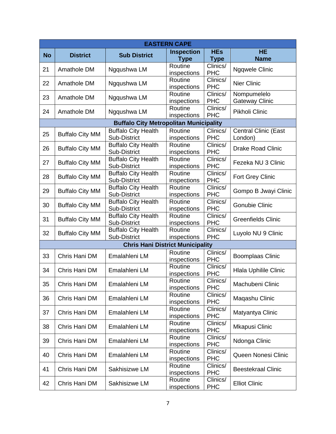|           | <b>EASTERN CAPE</b>    |                                               |                        |                        |                                      |  |  |  |
|-----------|------------------------|-----------------------------------------------|------------------------|------------------------|--------------------------------------|--|--|--|
| <b>No</b> | <b>District</b>        | <b>Sub District</b>                           | <b>Inspection</b>      | <b>HEs</b>             | <b>HE</b>                            |  |  |  |
|           |                        |                                               | <b>Type</b>            | <b>Type</b>            | <b>Name</b>                          |  |  |  |
| 21        | Amathole DM            | Ngqushwa LM                                   | Routine                | Clinics/               | <b>Ngqwele Clinic</b>                |  |  |  |
|           |                        |                                               | inspections            | <b>PHC</b>             |                                      |  |  |  |
| 22        | Amathole DM            | Ngqushwa LM                                   | Routine                | Clinics/               | <b>Nier Clinic</b>                   |  |  |  |
|           |                        |                                               | inspections            | <b>PHC</b>             |                                      |  |  |  |
| 23        | Amathole DM            | Ngqushwa LM                                   | Routine                | Clinics/<br><b>PHC</b> | Nompumelelo<br><b>Gateway Clinic</b> |  |  |  |
|           |                        |                                               | inspections<br>Routine | Clinics/               |                                      |  |  |  |
| 24        | Amathole DM            | Ngqushwa LM                                   | inspections            | <b>PHC</b>             | Pikholi Clinic                       |  |  |  |
|           |                        | <b>Buffalo City Metropolitan Municipality</b> |                        |                        |                                      |  |  |  |
|           |                        | <b>Buffalo City Health</b>                    | Routine                | Clinics/               | <b>Central Clinic (East</b>          |  |  |  |
| 25        | <b>Buffalo City MM</b> | Sub-District                                  | inspections            | <b>PHC</b>             | London)                              |  |  |  |
|           |                        | <b>Buffalo City Health</b>                    | Routine                | Clinics/               |                                      |  |  |  |
| 26        | <b>Buffalo City MM</b> | Sub-District                                  | inspections            | <b>PHC</b>             | <b>Drake Road Clinic</b>             |  |  |  |
| 27        | <b>Buffalo City MM</b> | <b>Buffalo City Health</b>                    | Routine                | Clinics/               | Fezeka NU 3 Clinic                   |  |  |  |
|           |                        | Sub-District                                  | inspections            | <b>PHC</b>             |                                      |  |  |  |
| 28        | <b>Buffalo City MM</b> | <b>Buffalo City Health</b>                    | Routine                | Clinics/               | Fort Grey Clinic                     |  |  |  |
|           |                        | Sub-District                                  | inspections            | <b>PHC</b>             |                                      |  |  |  |
| 29        | <b>Buffalo City MM</b> | <b>Buffalo City Health</b>                    | Routine                | Clinics/               | Gompo B Jwayi Clinic                 |  |  |  |
|           |                        | Sub-District                                  | inspections            | <b>PHC</b>             |                                      |  |  |  |
| 30        | <b>Buffalo City MM</b> | <b>Buffalo City Health</b>                    | Routine                | Clinics/               | <b>Gonubie Clinic</b>                |  |  |  |
|           |                        | Sub-District<br><b>Buffalo City Health</b>    | inspections<br>Routine | <b>PHC</b><br>Clinics/ |                                      |  |  |  |
| 31        | <b>Buffalo City MM</b> | Sub-District                                  | inspections            | <b>PHC</b>             | <b>Greenfields Clinic</b>            |  |  |  |
|           |                        | <b>Buffalo City Health</b>                    | Routine                | Clinics/               |                                      |  |  |  |
| 32        | <b>Buffalo City MM</b> | Sub-District                                  | inspections            | <b>PHC</b>             | Luyolo NU 9 Clinic                   |  |  |  |
|           |                        | <b>Chris Hani District Municipality</b>       |                        |                        |                                      |  |  |  |
|           |                        |                                               | Routine                | Clinics/               |                                      |  |  |  |
| 33        | Chris Hani DM          | Emalahleni LM                                 | inspections            | <b>PHC</b>             | <b>Boomplaas Clinic</b>              |  |  |  |
| 34        | Chris Hani DM          | Emalahleni LM                                 | Routine                | Clinics/               | <b>Hlala Uphilile Clinic</b>         |  |  |  |
|           |                        |                                               | inspections            | <b>PHC</b>             |                                      |  |  |  |
| 35        | Chris Hani DM          | Emalahleni LM                                 | Routine                | Clinics/               | Machubeni Clinic                     |  |  |  |
|           |                        |                                               | inspections            | <b>PHC</b>             |                                      |  |  |  |
| 36        | Chris Hani DM          | Emalahleni LM                                 | Routine                | Clinics/               | Magashu Clinic                       |  |  |  |
|           |                        |                                               | inspections<br>Routine | <b>PHC</b><br>Clinics/ |                                      |  |  |  |
| 37        | Chris Hani DM          | Emalahleni LM                                 | inspections            | <b>PHC</b>             | Matyantya Clinic                     |  |  |  |
|           |                        |                                               | Routine                | Clinics/               |                                      |  |  |  |
| 38        | Chris Hani DM          | Emalahleni LM                                 | inspections            | <b>PHC</b>             | Mkapusi Clinic                       |  |  |  |
|           |                        |                                               | Routine                | Clinics/               |                                      |  |  |  |
| 39        | Chris Hani DM          | Emalahleni LM                                 | inspections            | <b>PHC</b>             | Ndonga Clinic                        |  |  |  |
|           |                        | Emalahleni LM                                 | Routine                | Clinics/               |                                      |  |  |  |
| 40        | Chris Hani DM          |                                               | inspections            | <b>PHC</b>             | Queen Nonesi Clinic                  |  |  |  |
| 41        | Chris Hani DM          | Sakhisizwe LM                                 | Routine                | Clinics/               | <b>Beestekraal Clinic</b>            |  |  |  |
|           |                        |                                               | inspections            | <b>PHC</b>             |                                      |  |  |  |
| 42        | Chris Hani DM          | Sakhisizwe LM                                 | Routine                | Clinics/               | <b>Elliot Clinic</b>                 |  |  |  |
|           |                        |                                               | inspections            | <b>PHC</b>             |                                      |  |  |  |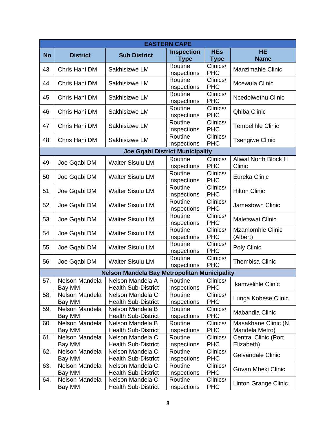|           | <b>EASTERN CAPE</b>      |                                                |                        |                        |                                     |  |  |
|-----------|--------------------------|------------------------------------------------|------------------------|------------------------|-------------------------------------|--|--|
| <b>No</b> | <b>District</b>          | <b>Sub District</b>                            | <b>Inspection</b>      | <b>HEs</b>             | <b>HE</b>                           |  |  |
|           |                          |                                                | <b>Type</b>            | <b>Type</b>            | <b>Name</b>                         |  |  |
| 43        | Chris Hani DM            | Sakhisizwe LM                                  | Routine                | Clinics/               | <b>Manzimahle Clinic</b>            |  |  |
|           |                          |                                                | inspections            | <b>PHC</b>             |                                     |  |  |
| 44        | Chris Hani DM            | Sakhisizwe LM                                  | Routine                | Clinics/               | Mcewula Clinic                      |  |  |
|           |                          |                                                | inspections            | <b>PHC</b>             |                                     |  |  |
| 45        | Chris Hani DM            | Sakhisizwe LM                                  | Routine                | Clinics/<br><b>PHC</b> | <b>Ncedolwethu Clinic</b>           |  |  |
|           |                          |                                                | inspections<br>Routine | Clinics/               |                                     |  |  |
| 46        | Chris Hani DM            | Sakhisizwe LM                                  | inspections            | <b>PHC</b>             | Qhiba Clinic                        |  |  |
|           |                          |                                                | Routine                | Clinics/               |                                     |  |  |
| 47        | Chris Hani DM            | Sakhisizwe LM                                  | inspections            | <b>PHC</b>             | <b>Tembelihle Clinic</b>            |  |  |
|           |                          |                                                | Routine                | Clinics/               |                                     |  |  |
| 48        | Chris Hani DM            | Sakhisizwe LM                                  | inspections            | <b>PHC</b>             | <b>Tsengiwe Clinic</b>              |  |  |
|           |                          | <b>Joe Gqabi District Municipality</b>         |                        |                        |                                     |  |  |
|           |                          |                                                | Routine                | Clinics/               | <b>Aliwal North Block H</b>         |  |  |
| 49        | Joe Gqabi DM             | <b>Walter Sisulu LM</b>                        | inspections            | <b>PHC</b>             | Clinic                              |  |  |
| 50        | Joe Gqabi DM             | <b>Walter Sisulu LM</b>                        | Routine                | Clinics/               | Eureka Clinic                       |  |  |
|           |                          |                                                | inspections            | <b>PHC</b>             |                                     |  |  |
| 51        | Joe Gqabi DM             | <b>Walter Sisulu LM</b>                        | Routine                | Clinics/               | <b>Hilton Clinic</b>                |  |  |
|           |                          |                                                | inspections            | <b>PHC</b>             |                                     |  |  |
| 52        | Joe Gqabi DM             | <b>Walter Sisulu LM</b>                        | Routine                | Clinics/               | Jamestown Clinic                    |  |  |
|           |                          |                                                | inspections            | <b>PHC</b>             |                                     |  |  |
| 53        | Joe Gqabi DM             | <b>Walter Sisulu LM</b>                        | Routine                | Clinics/               | Maletswai Clinic                    |  |  |
|           |                          |                                                | inspections            | <b>PHC</b><br>Clinics/ |                                     |  |  |
| 54        | Joe Gqabi DM             | <b>Walter Sisulu LM</b>                        | Routine<br>inspections | <b>PHC</b>             | <b>Mzamomhle Clinic</b><br>(Albert) |  |  |
|           |                          |                                                | Routine                | Clinics/               |                                     |  |  |
| 55        | Joe Gqabi DM             | <b>Walter Sisulu LM</b>                        | inspections            | <b>PHC</b>             | Poly Clinic                         |  |  |
|           |                          |                                                | Routine                | Clinics/               |                                     |  |  |
| 56        | Joe Gqabi DM             | <b>Walter Sisulu LM</b>                        | inspections            | <b>PHC</b>             | <b>Thembisa Clinic</b>              |  |  |
|           |                          | Nelson Mandela Bay Metropolitan Municipality   |                        |                        |                                     |  |  |
| 57.       | Nelson Mandela           | Nelson Mandela A                               | Routine                | Clinics/               |                                     |  |  |
|           | Bay MM                   | <b>Health Sub-District</b>                     | inspections            | <b>PHC</b>             | Ikamvelihle Clinic                  |  |  |
| 58.       | Nelson Mandela           | Nelson Mandela C                               | Routine                | Clinics/               | Lunga Kobese Clinic                 |  |  |
|           | Bay MM                   | <b>Health Sub-District</b>                     | inspections            | <b>PHC</b>             |                                     |  |  |
| 59.       | Nelson Mandela           | Nelson Mandela B                               | Routine                | Clinics/               | Mabandla Clinic                     |  |  |
|           | Bay MM                   | <b>Health Sub-District</b>                     | inspections            | <b>PHC</b>             |                                     |  |  |
| 60.       | Nelson Mandela           | Nelson Mandela B                               | Routine                | Clinics/               | Masakhane Clinic (N                 |  |  |
|           | Bay MM                   | <b>Health Sub-District</b>                     | inspections            | <b>PHC</b>             | Mandela Metro)                      |  |  |
| 61.       | Nelson Mandela           | Nelson Mandela C                               | Routine                | Clinics/               | <b>Central Clinic (Port</b>         |  |  |
|           | Bay MM                   | <b>Health Sub-District</b>                     | inspections            | <b>PHC</b>             | Elizabeth)                          |  |  |
| 62.       | Nelson Mandela           | Nelson Mandela C                               | Routine                | Clinics/<br><b>PHC</b> | Gelvandale Clinic                   |  |  |
| 63.       | Bay MM<br>Nelson Mandela | <b>Health Sub-District</b><br>Nelson Mandela C | inspections<br>Routine |                        |                                     |  |  |
|           | Bay MM                   | <b>Health Sub-District</b>                     | inspections            | Clinics/<br><b>PHC</b> | Govan Mbeki Clinic                  |  |  |
| 64.       | Nelson Mandela           | Nelson Mandela C                               | Routine                | Clinics/               |                                     |  |  |
|           | Bay MM                   | <b>Health Sub-District</b>                     | inspections            | <b>PHC</b>             | Linton Grange Clinic                |  |  |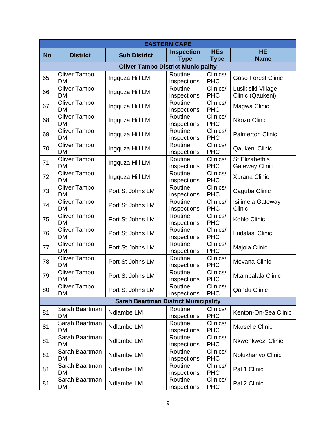| <b>EASTERN CAPE</b> |                                  |                                             |                        |                                             |                                         |  |
|---------------------|----------------------------------|---------------------------------------------|------------------------|---------------------------------------------|-----------------------------------------|--|
| <b>No</b>           | <b>District</b>                  | <b>Sub District</b>                         | <b>Inspection</b>      | <b>HEs</b>                                  | <b>HE</b>                               |  |
|                     |                                  |                                             | <b>Type</b>            | <b>Type</b>                                 | <b>Name</b>                             |  |
|                     |                                  | <b>Oliver Tambo District Municipality</b>   |                        |                                             |                                         |  |
| 65                  | <b>Oliver Tambo</b><br><b>DM</b> | Ingquza Hill LM                             | Routine<br>inspections | Clinics/<br><b>PHC</b>                      | <b>Goso Forest Clinic</b>               |  |
| 66                  | <b>Oliver Tambo</b><br><b>DM</b> | Ingquza Hill LM                             | Routine<br>inspections | Clinics/<br><b>PHC</b>                      | Lusikisiki Village<br>Clinic (Qaukeni)  |  |
| 67                  | <b>Oliver Tambo</b><br><b>DM</b> | Ingquza Hill LM                             | Routine<br>inspections | Clinics/<br><b>PHC</b>                      | Magwa Clinic                            |  |
| 68                  | <b>Oliver Tambo</b><br><b>DM</b> | Ingquza Hill LM                             | Routine<br>inspections | Clinics/<br><b>PHC</b>                      | <b>Nkozo Clinic</b>                     |  |
| 69                  | Oliver Tambo<br><b>DM</b>        | Ingquza Hill LM                             | Routine<br>inspections | $\overline{\text{Clin}}$ ics/<br><b>PHC</b> | <b>Palmerton Clinic</b>                 |  |
| 70                  | <b>Oliver Tambo</b><br><b>DM</b> | Ingquza Hill LM                             | Routine<br>inspections | Clinics/<br><b>PHC</b>                      | Qaukeni Clinic                          |  |
| 71                  | <b>Oliver Tambo</b><br><b>DM</b> | Ingquza Hill LM                             | Routine<br>inspections | Clinics/<br><b>PHC</b>                      | St Elizabeth's<br><b>Gateway Clinic</b> |  |
| 72                  | Oliver Tambo<br><b>DM</b>        | Ingquza Hill LM                             | Routine<br>inspections | Clinics/<br><b>PHC</b>                      | <b>Xurana Clinic</b>                    |  |
| 73                  | <b>Oliver Tambo</b><br><b>DM</b> | Port St Johns LM                            | Routine<br>inspections | Clinics/<br><b>PHC</b>                      | Caguba Clinic                           |  |
| 74                  | Oliver Tambo<br><b>DM</b>        | Port St Johns LM                            | Routine<br>inspections | Clinics/<br><b>PHC</b>                      | Isilimela Gateway<br>Clinic             |  |
| 75                  | <b>Oliver Tambo</b><br><b>DM</b> | Port St Johns LM                            | Routine<br>inspections | Clinics/<br><b>PHC</b>                      | Kohlo Clinic                            |  |
| 76                  | <b>Oliver Tambo</b><br><b>DM</b> | Port St Johns LM                            | Routine<br>inspections | Clinics/<br><b>PHC</b>                      | Ludalasi Clinic                         |  |
| 77                  | <b>Oliver Tambo</b><br><b>DM</b> | Port St Johns LM                            | Routine<br>inspections | Clinics/<br><b>PHC</b>                      | Majola Clinic                           |  |
| 78                  | <b>Oliver Tambo</b><br><b>DM</b> | Port St Johns LM                            | Routine<br>inspections | Clinics/<br><b>PHC</b>                      | Mevana Clinic                           |  |
| 79                  | <b>Oliver Tambo</b><br><b>DM</b> | Port St Johns LM                            | Routine<br>inspections | Clinics/<br><b>PHC</b>                      | Mtambalala Clinic                       |  |
| 80                  | Oliver Tambo<br>DM               | Port St Johns LM                            | Routine<br>inspections | Clinics/<br><b>PHC</b>                      | <b>Qandu Clinic</b>                     |  |
|                     |                                  | <b>Sarah Baartman District Municipality</b> |                        |                                             |                                         |  |
| 81                  | Sarah Baartman<br><b>DM</b>      | Ndlambe LM                                  | Routine<br>inspections | Clinics/<br><b>PHC</b>                      | Kenton-On-Sea Clinic                    |  |
| 81                  | Sarah Baartman<br>DM             | Ndlambe LM                                  | Routine<br>inspections | Clinics/<br><b>PHC</b>                      | <b>Marselle Clinic</b>                  |  |
| 81                  | Sarah Baartman<br>DM             | Ndlambe LM                                  | Routine<br>inspections | Clinics/<br><b>PHC</b>                      | Nkwenkwezi Clinic                       |  |
| 81                  | Sarah Baartman<br>DM             | Ndlambe LM                                  | Routine<br>inspections | Clinics/<br><b>PHC</b>                      | Nolukhanyo Clinic                       |  |
| 81                  | Sarah Baartman<br>DM             | Ndlambe LM                                  | Routine<br>inspections | Clinics/<br><b>PHC</b>                      | Pal 1 Clinic                            |  |
| 81                  | Sarah Baartman<br>DM             | Ndlambe LM                                  | Routine<br>inspections | Clinics/<br><b>PHC</b>                      | Pal 2 Clinic                            |  |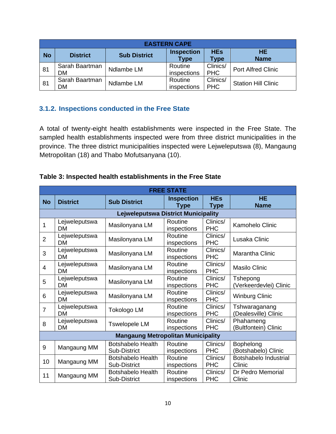|           | <b>EASTERN CAPE</b>         |                     |                                  |                           |                            |  |  |  |  |
|-----------|-----------------------------|---------------------|----------------------------------|---------------------------|----------------------------|--|--|--|--|
| <b>No</b> | <b>District</b>             | <b>Sub District</b> | <b>Inspection</b><br><b>Type</b> | <b>HEs</b><br><b>Type</b> | <b>HE</b><br><b>Name</b>   |  |  |  |  |
| 81        | Sarah Baartman<br><b>DM</b> | Ndlambe LM          | Routine<br>inspections           | Clinics/<br><b>PHC</b>    | <b>Port Alfred Clinic</b>  |  |  |  |  |
| 81        | Sarah Baartman<br>DM        | Ndlambe LM          | Routine<br>inspections           | Clinics/<br><b>PHC</b>    | <b>Station Hill Clinic</b> |  |  |  |  |

# **3.1.2. Inspections conducted in the Free State**

<span id="page-12-0"></span>A total of twenty-eight health establishments were inspected in the Free State. The sampled health establishments inspected were from three district municipalities in the province. The three district municipalities inspected were Lejweleputswa (8), Mangaung Metropolitan (18) and Thabo Mofutsanyana (10).

|  |  | Table 3: Inspected health establishments in the Free State |  |  |
|--|--|------------------------------------------------------------|--|--|
|  |  |                                                            |  |  |

|                | <b>FREE STATE</b>                          |                                          |                                  |                           |                                       |  |  |  |  |  |
|----------------|--------------------------------------------|------------------------------------------|----------------------------------|---------------------------|---------------------------------------|--|--|--|--|--|
| <b>No</b>      | <b>District</b>                            | <b>Sub District</b>                      | <b>Inspection</b><br><b>Type</b> | <b>HEs</b><br><b>Type</b> | <b>HE</b><br><b>Name</b>              |  |  |  |  |  |
|                | <b>Lejweleputswa District Municipality</b> |                                          |                                  |                           |                                       |  |  |  |  |  |
| 1              | Lejweleputswa<br>DM                        | Masilonyana LM                           | Routine<br>inspections           | Clinics/<br><b>PHC</b>    | Kamohelo Clinic                       |  |  |  |  |  |
| $\overline{2}$ | Lejweleputswa<br><b>DM</b>                 | Masilonyana LM                           | Routine<br>inspections           | Clinics/<br><b>PHC</b>    | Lusaka Clinic                         |  |  |  |  |  |
| 3              | Lejweleputswa<br><b>DM</b>                 | Masilonyana LM                           | Routine<br>inspections           | Clinics/<br><b>PHC</b>    | Marantha Clinic                       |  |  |  |  |  |
| $\overline{4}$ | Lejweleputswa<br><b>DM</b>                 | Masilonyana LM                           | Routine<br>inspections           | Clinics/<br><b>PHC</b>    | <b>Masilo Clinic</b>                  |  |  |  |  |  |
| 5              | Lejweleputswa<br><b>DM</b>                 | Masilonyana LM                           | Routine<br>inspections           | Clinics/<br><b>PHC</b>    | Tshepong<br>(Verkeerdevlei) Clinic    |  |  |  |  |  |
| 6              | Lejweleputswa<br><b>DM</b>                 | Masilonyana LM                           | Routine<br>inspections           | Clinics/<br><b>PHC</b>    | <b>Winburg Clinic</b>                 |  |  |  |  |  |
| $\overline{7}$ | Lejweleputswa<br>DM                        | Tokologo LM                              | Routine<br>inspections           | Clinics/<br><b>PHC</b>    | Tshwaraganang<br>(Dealesville) Clinic |  |  |  |  |  |
| 8              | Lejweleputswa<br><b>DM</b>                 | <b>Tswelopele LM</b>                     | Routine<br>inspections           | Clinics/<br><b>PHC</b>    | Phahameng<br>(Bultfontein) Clinic     |  |  |  |  |  |
|                | <b>Mangaung Metropolitan Municipality</b>  |                                          |                                  |                           |                                       |  |  |  |  |  |
| 9              | Mangaung MM                                | <b>Botshabelo Health</b><br>Sub-District | Routine<br>inspections           | Clinics/<br><b>PHC</b>    | Bophelong<br>(Botshabelo) Clinic      |  |  |  |  |  |
| 10             | Mangaung MM                                | <b>Botshabelo Health</b><br>Sub-District | Routine<br>inspections           | Clinics/<br><b>PHC</b>    | Botshabelo Industrial<br>Clinic       |  |  |  |  |  |
| 11             | Mangaung MM                                | <b>Botshabelo Health</b><br>Sub-District | Routine<br>inspections           | Clinics/<br><b>PHC</b>    | Dr Pedro Memorial<br>Clinic           |  |  |  |  |  |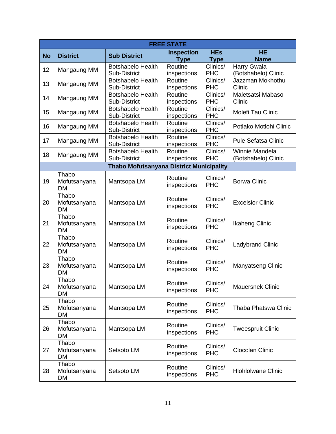|           | <b>FREE STATE</b>         |                                          |                        |                               |                                         |  |  |  |
|-----------|---------------------------|------------------------------------------|------------------------|-------------------------------|-----------------------------------------|--|--|--|
| <b>No</b> | <b>District</b>           | <b>Sub District</b>                      | <b>Inspection</b>      | <b>HEs</b>                    | <b>HE</b>                               |  |  |  |
|           |                           |                                          | <b>Type</b>            | <b>Type</b>                   | <b>Name</b>                             |  |  |  |
| 12        | Mangaung MM               | <b>Botshabelo Health</b>                 | Routine                | Clinics/<br><b>PHC</b>        | <b>Harry Gwala</b>                      |  |  |  |
|           |                           | Sub-District                             | inspections<br>Routine | Clinics/                      | (Botshabelo) Clinic<br>Jazzman Mokhothu |  |  |  |
| 13        | Mangaung MM               | <b>Botshabelo Health</b><br>Sub-District | inspections            | <b>PHC</b>                    | Clinic                                  |  |  |  |
|           |                           | <b>Botshabelo Health</b>                 | Routine                | $\overline{\text{Clin}}$ ics/ | Maletsatsi Mabaso                       |  |  |  |
| 14        | Mangaung MM               | Sub-District                             | inspections            | <b>PHC</b>                    | Clinic                                  |  |  |  |
|           |                           | <b>Botshabelo Health</b>                 | Routine                | Clinics/                      |                                         |  |  |  |
| 15        | Mangaung MM               | Sub-District                             | inspections            | <b>PHC</b>                    | Molefi Tau Clinic                       |  |  |  |
| 16        | Mangaung MM               | <b>Botshabelo Health</b>                 | Routine                | Clinics/                      | Potlako Motlohi Clinic                  |  |  |  |
|           |                           | Sub-District                             | inspections            | <b>PHC</b>                    |                                         |  |  |  |
| 17        | Mangaung MM               | <b>Botshabelo Health</b>                 | Routine                | Clinics/                      | <b>Pule Sefatsa Clinic</b>              |  |  |  |
|           |                           | Sub-District                             | inspections<br>Routine | <b>PHC</b><br>Clinics/        | Winnie Mandela                          |  |  |  |
| 18        | Mangaung MM               | <b>Botshabelo Health</b><br>Sub-District | inspections            | <b>PHC</b>                    | (Botshabelo) Clinic                     |  |  |  |
|           |                           | Thabo Mofutsanyana District Municipality |                        |                               |                                         |  |  |  |
|           | Thabo                     |                                          |                        |                               |                                         |  |  |  |
| 19        | Mofutsanyana              | Mantsopa LM                              | Routine                | Clinics/                      | <b>Borwa Clinic</b>                     |  |  |  |
|           | <b>DM</b>                 |                                          | inspections            | <b>PHC</b>                    |                                         |  |  |  |
|           | Thabo                     |                                          |                        |                               |                                         |  |  |  |
| 20        | Mofutsanyana              | Mantsopa LM                              | Routine<br>inspections | Clinics/<br><b>PHC</b>        | <b>Excelsior Clinic</b>                 |  |  |  |
|           | <b>DM</b>                 |                                          |                        |                               |                                         |  |  |  |
|           | Thabo                     |                                          | Routine                | Clinics/                      |                                         |  |  |  |
| 21        | Mofutsanyana<br><b>DM</b> | Mantsopa LM                              | inspections            | <b>PHC</b>                    | <b>Ikaheng Clinic</b>                   |  |  |  |
|           | Thabo                     |                                          |                        |                               |                                         |  |  |  |
| 22        | Mofutsanyana              | Mantsopa LM                              | Routine                | Clinics/                      | <b>Ladybrand Clinic</b>                 |  |  |  |
|           | <b>DM</b>                 |                                          | inspections            | <b>PHC</b>                    |                                         |  |  |  |
|           | Thabo                     |                                          | Routine                | Clinics/                      |                                         |  |  |  |
| 23        | Mofutsanyana              | Mantsopa LM                              | inspections            | <b>PHC</b>                    | Manyatseng Clinic                       |  |  |  |
|           | <b>DM</b>                 |                                          |                        |                               |                                         |  |  |  |
|           | Thabo                     |                                          | Routine                | Clinics/                      |                                         |  |  |  |
| 24        | Mofutsanyana              | Mantsopa LM                              | inspections            | <b>PHC</b>                    | <b>Mauersnek Clinic</b>                 |  |  |  |
|           | DM<br>Thabo               |                                          |                        |                               |                                         |  |  |  |
| 25        | Mofutsanyana              | Mantsopa LM                              | Routine                | Clinics/                      | <b>Thaba Phatswa Clinic</b>             |  |  |  |
|           | DM                        |                                          | inspections            | <b>PHC</b>                    |                                         |  |  |  |
|           | Thabo                     |                                          |                        |                               |                                         |  |  |  |
| 26        | Mofutsanyana              | Mantsopa LM                              | Routine<br>inspections | Clinics/<br><b>PHC</b>        | <b>Tweespruit Clinic</b>                |  |  |  |
|           | DM                        |                                          |                        |                               |                                         |  |  |  |
|           | Thabo                     |                                          | Routine                | Clinics/                      |                                         |  |  |  |
| 27        | Mofutsanyana              | Setsoto LM                               | inspections            | <b>PHC</b>                    | Clocolan Clinic                         |  |  |  |
|           | DM                        |                                          |                        |                               |                                         |  |  |  |
| 28        | Thabo<br>Mofutsanyana     | Setsoto LM                               | Routine                | Clinics/                      | <b>Hlohlolwane Clinic</b>               |  |  |  |
|           | DM                        |                                          | inspections            | <b>PHC</b>                    |                                         |  |  |  |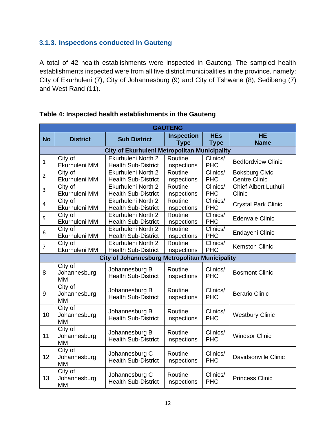## **3.1.3. Inspections conducted in Gauteng**

<span id="page-14-0"></span>A total of 42 health establishments were inspected in Gauteng. The sampled health establishments inspected were from all five district municipalities in the province, namely: City of Ekurhuleni (7), City of Johannesburg (9) and City of Tshwane (8), Sedibeng (7) and West Rand (11).

|                | <b>GAUTENG</b>                       |                                                       |                                  |                           |                                               |  |  |  |
|----------------|--------------------------------------|-------------------------------------------------------|----------------------------------|---------------------------|-----------------------------------------------|--|--|--|
| <b>No</b>      | <b>District</b>                      | <b>Sub District</b>                                   | <b>Inspection</b><br><b>Type</b> | <b>HEs</b><br><b>Type</b> | <b>HE</b><br><b>Name</b>                      |  |  |  |
|                |                                      | <b>City of Ekurhuleni Metropolitan Municipality</b>   |                                  |                           |                                               |  |  |  |
| $\mathbf{1}$   | City of<br>Ekurhuleni MM             | Ekurhuleni North 2<br><b>Health Sub-District</b>      | Routine<br>inspections           | Clinics/<br><b>PHC</b>    | <b>Bedfordview Clinic</b>                     |  |  |  |
| $\overline{2}$ | City of<br>Ekurhuleni MM             | Ekurhuleni North 2<br><b>Health Sub-District</b>      | Routine<br>inspections           | Clinics/<br><b>PHC</b>    | <b>Boksburg Civic</b><br><b>Centre Clinic</b> |  |  |  |
| 3              | City of<br>Ekurhuleni MM             | Ekurhuleni North 2<br><b>Health Sub-District</b>      | Routine<br>inspections           | Clinics/<br><b>PHC</b>    | <b>Chief Albert Luthuli</b><br>Clinic         |  |  |  |
| 4              | City of<br>Ekurhuleni MM             | Ekurhuleni North 2<br><b>Health Sub-District</b>      | Routine<br>inspections           | Clinics/<br><b>PHC</b>    | <b>Crystal Park Clinic</b>                    |  |  |  |
| 5              | City of<br>Ekurhuleni MM             | Ekurhuleni North 2<br><b>Health Sub-District</b>      | Routine<br>inspections           | Clinics/<br><b>PHC</b>    | <b>Edenvale Clinic</b>                        |  |  |  |
| 6              | City of<br>Ekurhuleni MM             | Ekurhuleni North 2<br><b>Health Sub-District</b>      | Routine<br>inspections           | Clinics/<br><b>PHC</b>    | Endayeni Clinic                               |  |  |  |
| $\overline{7}$ | City of<br>Ekurhuleni MM             | Ekurhuleni North 2<br><b>Health Sub-District</b>      | Routine<br>inspections           | Clinics/<br><b>PHC</b>    | <b>Kemston Clinic</b>                         |  |  |  |
|                |                                      | <b>City of Johannesburg Metropolitan Municipality</b> |                                  |                           |                                               |  |  |  |
| 8              | City of<br>Johannesburg<br><b>MM</b> | Johannesburg B<br><b>Health Sub-District</b>          | Routine<br>inspections           | Clinics/<br><b>PHC</b>    | <b>Bosmont Clinic</b>                         |  |  |  |
| 9              | City of<br>Johannesburg<br><b>MM</b> | Johannesburg B<br><b>Health Sub-District</b>          | Routine<br>inspections           | Clinics/<br><b>PHC</b>    | <b>Berario Clinic</b>                         |  |  |  |
| 10             | City of<br>Johannesburg<br><b>MM</b> | Johannesburg B<br><b>Health Sub-District</b>          | Routine<br>inspections           | Clinics/<br><b>PHC</b>    | <b>Westbury Clinic</b>                        |  |  |  |
| 11             | City of<br>Johannesburg<br><b>MM</b> | Johannesburg B<br><b>Health Sub-District</b>          | Routine<br>inspections           | Clinics/<br><b>PHC</b>    | <b>Windsor Clinic</b>                         |  |  |  |
| 12             | City of<br>Johannesburg<br><b>MM</b> | Johannesburg C<br><b>Health Sub-District</b>          | Routine<br>inspections           | Clinics/<br><b>PHC</b>    | Davidsonville Clinic                          |  |  |  |
| 13             | City of<br>Johannesburg<br><b>MM</b> | Johannesburg C<br><b>Health Sub-District</b>          | Routine<br>inspections           | Clinics/<br><b>PHC</b>    | <b>Princess Clinic</b>                        |  |  |  |

#### **Table 4: Inspected health establishments in the Gauteng**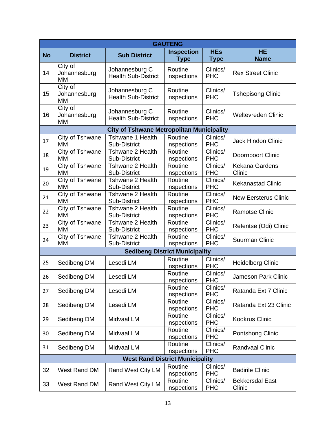| <b>GAUTENG</b> |                                      |                                                  |                                  |                           |                                  |  |  |
|----------------|--------------------------------------|--------------------------------------------------|----------------------------------|---------------------------|----------------------------------|--|--|
| <b>No</b>      | <b>District</b>                      | <b>Sub District</b>                              | <b>Inspection</b><br><b>Type</b> | <b>HEs</b><br><b>Type</b> | <b>HE</b><br><b>Name</b>         |  |  |
| 14             | City of<br>Johannesburg<br><b>MM</b> | Johannesburg C<br><b>Health Sub-District</b>     | Routine<br>inspections           | Clinics/<br><b>PHC</b>    | <b>Rex Street Clinic</b>         |  |  |
| 15             | City of<br>Johannesburg<br><b>MM</b> | Johannesburg C<br><b>Health Sub-District</b>     | Routine<br>inspections           | Clinics/<br><b>PHC</b>    | <b>Tshepisong Clinic</b>         |  |  |
| 16             | City of<br>Johannesburg<br>MM        | Johannesburg C<br><b>Health Sub-District</b>     | Routine<br>inspections           | Clinics/<br><b>PHC</b>    | <b>Weltevreden Clinic</b>        |  |  |
|                |                                      | <b>City of Tshwane Metropolitan Municipality</b> |                                  |                           |                                  |  |  |
| 17             | City of Tshwane<br>МM                | Tshwane 1 Health<br>Sub-District                 | Routine<br>inspections           | Clinics/<br><b>PHC</b>    | <b>Jack Hindon Clinic</b>        |  |  |
| 18             | City of Tshwane<br><b>MM</b>         | Tshwane 2 Health<br>Sub-District                 | Routine<br>inspections           | Clinics/<br><b>PHC</b>    | Doornpoort Clinic                |  |  |
| 19             | City of Tshwane<br><b>MM</b>         | Tshwane 2 Health<br>Sub-District                 | Routine<br>inspections           | Clinics/<br><b>PHC</b>    | Kekana Gardens<br>Clinic         |  |  |
| 20             | City of Tshwane<br><b>MM</b>         | Tshwane 2 Health<br>Sub-District                 | Routine<br>inspections           | Clinics/<br><b>PHC</b>    | <b>Kekanastad Clinic</b>         |  |  |
| 21             | City of Tshwane<br><b>MM</b>         | Tshwane 2 Health<br>Sub-District                 | Routine<br>inspections           | Clinics/<br><b>PHC</b>    | <b>New Eersterus Clinic</b>      |  |  |
| 22             | City of Tshwane<br>MM                | Tshwane 2 Health<br>Sub-District                 | Routine<br>inspections           | Clinics/<br><b>PHC</b>    | <b>Ramotse Clinic</b>            |  |  |
| 23             | City of Tshwane<br>MM                | Tshwane 2 Health<br>Sub-District                 | Routine<br>inspections           | Clinics/<br><b>PHC</b>    | Refentse (Odi) Clinic            |  |  |
| 24             | City of Tshwane<br>MM                | Tshwane 2 Health<br>Sub-District                 | Routine<br>inspections           | Clinics/<br><b>PHC</b>    | <b>Suurman Clinic</b>            |  |  |
|                |                                      | <b>Sedibeng District Municipality</b>            |                                  |                           |                                  |  |  |
| 25             | Sedibeng DM                          | Lesedi LM                                        | Routine<br>inspections           | Clinics/<br><b>PHC</b>    | <b>Heidelberg Clinic</b>         |  |  |
| 26             | Sedibeng DM                          | Lesedi LM                                        | Routine<br>inspections           | Clinics/<br><b>PHC</b>    | <b>Jameson Park Clinic</b>       |  |  |
| 27             | Sedibeng DM                          | Lesedi LM                                        | Routine<br>inspections           | Clinics/<br><b>PHC</b>    | Ratanda Ext 7 Clinic             |  |  |
| 28             | Sedibeng DM                          | Lesedi LM                                        | Routine<br>inspections           | Clinics/<br><b>PHC</b>    | Ratanda Ext 23 Clinic            |  |  |
| 29             | Sedibeng DM                          | Midvaal LM                                       | Routine<br>inspections           | Clinics/<br><b>PHC</b>    | <b>Kookrus Clinic</b>            |  |  |
| 30             | Sedibeng DM                          | Midvaal LM                                       | Routine<br>inspections           | Clinics/<br><b>PHC</b>    | Pontshong Clinic                 |  |  |
| 31             | Sedibeng DM                          | Midvaal LM                                       | Routine<br>inspections           | Clinics/<br><b>PHC</b>    | <b>Randvaal Clinic</b>           |  |  |
|                |                                      | <b>West Rand District Municipality</b>           |                                  |                           |                                  |  |  |
| 32             | West Rand DM                         | Rand West City LM                                | Routine<br>inspections           | Clinics/<br><b>PHC</b>    | <b>Badirile Clinic</b>           |  |  |
| 33             | West Rand DM                         | Rand West City LM                                | Routine<br>inspections           | Clinics/<br><b>PHC</b>    | <b>Bekkersdal East</b><br>Clinic |  |  |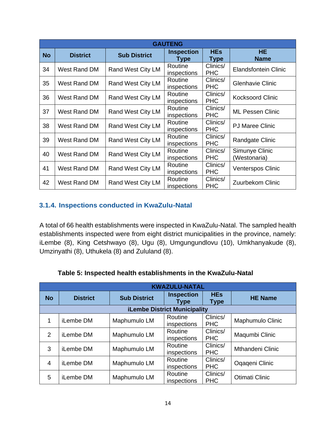| <b>GAUTENG</b> |                 |                     |                                  |                           |                                |  |  |
|----------------|-----------------|---------------------|----------------------------------|---------------------------|--------------------------------|--|--|
| <b>No</b>      | <b>District</b> | <b>Sub District</b> | <b>Inspection</b><br><b>Type</b> | <b>HEs</b><br><b>Type</b> | HE.<br><b>Name</b>             |  |  |
| 34             | West Rand DM    | Rand West City LM   | Routine<br>inspections           | Clinics/<br><b>PHC</b>    | <b>Elandsfontein Clinic</b>    |  |  |
| 35             | West Rand DM    | Rand West City LM   | Routine<br>inspections           | Clinics/<br><b>PHC</b>    | <b>Glenhavie Clinic</b>        |  |  |
| 36             | West Rand DM    | Rand West City LM   | Routine<br>inspections           | Clinics/<br><b>PHC</b>    | <b>Kocksoord Clinic</b>        |  |  |
| 37             | West Rand DM    | Rand West City LM   | Routine<br>inspections           | Clinics/<br><b>PHC</b>    | <b>ML Pessen Clinic</b>        |  |  |
| 38             | West Rand DM    | Rand West City LM   | Routine<br>inspections           | Clinics/<br><b>PHC</b>    | <b>PJ Maree Clinic</b>         |  |  |
| 39             | West Rand DM    | Rand West City LM   | Routine<br>inspections           | Clinics/<br><b>PHC</b>    | Randgate Clinic                |  |  |
| 40             | West Rand DM    | Rand West City LM   | Routine<br>inspections           | Clinics/<br><b>PHC</b>    | Simunye Clinic<br>(Westonaria) |  |  |
| 41             | West Rand DM    | Rand West City LM   | Routine<br>inspections           | Clinics/<br><b>PHC</b>    | <b>Venterspos Clinic</b>       |  |  |
| 42             | West Rand DM    | Rand West City LM   | Routine<br>inspections           | Clinics/<br><b>PHC</b>    | Zuurbekom Clinic               |  |  |

# **3.1.4. Inspections conducted in KwaZulu-Natal**

<span id="page-16-0"></span>A total of 66 health establishments were inspected in KwaZulu-Natal. The sampled health establishments inspected were from eight district municipalities in the province, namely: iLembe (8), King Cetshwayo (8), Ugu (8), Umgungundlovu (10), Umkhanyakude (8), Umzinyathi (8), Uthukela (8) and Zululand (8).

|                | <b>KWAZULU-NATAL</b>                |                     |                           |                        |                         |  |  |  |  |
|----------------|-------------------------------------|---------------------|---------------------------|------------------------|-------------------------|--|--|--|--|
| <b>No</b>      | <b>District</b>                     | <b>Sub District</b> | <b>Inspection</b><br>Type | <b>HEs</b><br>Type     | <b>HE Name</b>          |  |  |  |  |
|                | <b>iLembe District Municipality</b> |                     |                           |                        |                         |  |  |  |  |
| 1              | iLembe DM                           | Maphumulo LM        | Routine<br>inspections    | Clinics/<br><b>PHC</b> | Maphumulo Clinic        |  |  |  |  |
| $\mathcal{P}$  | iLembe DM                           | Maphumulo LM        | Routine<br>inspections    | Clinics/<br><b>PHC</b> | Maqumbi Clinic          |  |  |  |  |
| 3              | iLembe DM                           | Maphumulo LM        | Routine<br>inspections    | Clinics/<br><b>PHC</b> | <b>Mthandeni Clinic</b> |  |  |  |  |
| $\overline{4}$ | iLembe DM                           | Maphumulo LM        | Routine<br>inspections    | Clinics/<br><b>PHC</b> | Oqaqeni Clinic          |  |  |  |  |
| 5              | iLembe DM                           | Maphumulo LM        | Routine<br>inspections    | Clinics/<br><b>PHC</b> | <b>Otimati Clinic</b>   |  |  |  |  |

# **Table 5: Inspected health establishments in the KwaZulu-Natal**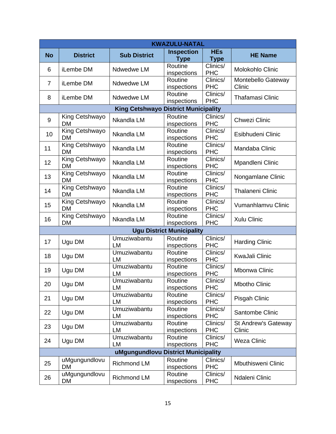|                | <b>KWAZULU-NATAL</b>        |                                     |                                  |                                             |                               |  |  |
|----------------|-----------------------------|-------------------------------------|----------------------------------|---------------------------------------------|-------------------------------|--|--|
| <b>No</b>      | <b>District</b>             | <b>Sub District</b>                 | <b>Inspection</b><br><b>Type</b> | <b>HEs</b><br><b>Type</b>                   | <b>HE Name</b>                |  |  |
| 6              | iLembe DM                   | Ndwedwe LM                          | Routine<br>inspections           | Clinics/<br><b>PHC</b>                      | Molokohlo Clinic              |  |  |
| $\overline{7}$ | iLembe DM                   | Ndwedwe LM                          | Routine<br>inspections           | Clinics/<br><b>PHC</b>                      | Montebello Gateway<br>Clinic  |  |  |
| 8              | iLembe DM                   | Ndwedwe LM                          | Routine<br>inspections           | Clinics/<br><b>PHC</b>                      | <b>Thafamasi Clinic</b>       |  |  |
|                |                             | <b>King Cetshwayo</b>               | <b>District Municipality</b>     |                                             |                               |  |  |
| 9              | King Cetshwayo<br><b>DM</b> | Nkandla LM                          | Routine<br>inspections           | Clinics/<br><b>PHC</b>                      | <b>Chwezi Clinic</b>          |  |  |
| 10             | King Cetshwayo<br><b>DM</b> | Nkandla LM                          | Routine<br>inspections           | $\overline{\text{Clin}}$ ics/<br><b>PHC</b> | Esibhudeni Clinic             |  |  |
| 11             | King Cetshwayo<br><b>DM</b> | Nkandla LM                          | Routine<br>inspections           | Clinics/<br><b>PHC</b>                      | Mandaba Clinic                |  |  |
| 12             | King Cetshwayo<br><b>DM</b> | Nkandla LM                          | Routine<br>inspections           | Clinics/<br><b>PHC</b>                      | Mpandleni Clinic              |  |  |
| 13             | King Cetshwayo<br><b>DM</b> | Nkandla LM                          | Routine<br>inspections           | Clinics/<br><b>PHC</b>                      | Nongamlane Clinic             |  |  |
| 14             | King Cetshwayo<br><b>DM</b> | Nkandla LM                          | Routine<br>inspections           | Clinics/<br><b>PHC</b>                      | <b>Thalaneni Clinic</b>       |  |  |
| 15             | King Cetshwayo<br><b>DM</b> | Nkandla LM                          | Routine<br>inspections           | Clinics/<br><b>PHC</b>                      | Vumanhlamvu Clinic            |  |  |
| 16             | King Cetshwayo<br><b>DM</b> | Nkandla LM                          | Routine<br>inspections           | Clinics/<br><b>PHC</b>                      | Xulu Clinic                   |  |  |
|                |                             |                                     | <b>Ugu District Municipality</b> |                                             |                               |  |  |
| 17             | Ugu DM                      | Umuziwabantu<br><b>LM</b>           | Routine<br>inspections           | Clinics/<br><b>PHC</b>                      | <b>Harding Clinic</b>         |  |  |
| 18             | Ugu DM                      | Umuziwabantu<br><b>LM</b>           | Routine<br>inspections           | Clinics/<br><b>PHC</b>                      | <b>KwaJali Clinic</b>         |  |  |
| 19             | Ugu DM                      | Umuziwabantu<br>LM                  | Routine<br>inspections           | Clinics/<br><b>PHC</b>                      | <b>Mbonwa Clinic</b>          |  |  |
| 20             | Ugu DM                      | Umuziwabantu<br>LM                  | Routine<br>inspections           | Clinics/<br><b>PHC</b>                      | <b>Mbotho Clinic</b>          |  |  |
| 21             | Ugu DM                      | Umuziwabantu<br>LM                  | Routine<br>inspections           | Clinics/<br><b>PHC</b>                      | Pisgah Clinic                 |  |  |
| 22             | Ugu DM                      | Umuziwabantu<br>LM                  | Routine<br>inspections           | Clinics/<br><b>PHC</b>                      | Santombe Clinic               |  |  |
| 23             | Ugu DM                      | Umuziwabantu<br>LM                  | Routine<br>inspections           | Clinics/<br><b>PHC</b>                      | St Andrew's Gateway<br>Clinic |  |  |
| 24             | Ugu DM                      | Umuziwabantu<br>LM                  | Routine<br>inspections           | Clinics/<br><b>PHC</b>                      | <b>Weza Clinic</b>            |  |  |
|                |                             | uMgungundlovu District Municipality |                                  |                                             |                               |  |  |
| 25             | uMgungundlovu<br><b>DM</b>  | Richmond LM                         | Routine<br>inspections           | Clinics/<br><b>PHC</b>                      | Mbuthisweni Clinic            |  |  |
| 26             | uMgungundlovu<br>DM         | <b>Richmond LM</b>                  | Routine<br>inspections           | Clinics/<br><b>PHC</b>                      | Ndaleni Clinic                |  |  |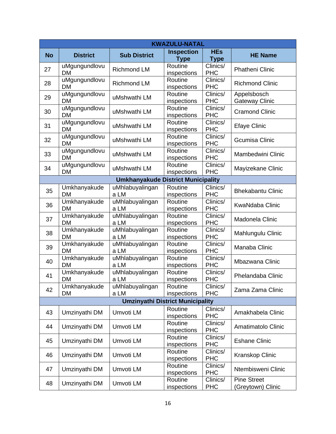|           | <b>KWAZULU-NATAL</b>       |                                           |                        |                        |                          |  |  |
|-----------|----------------------------|-------------------------------------------|------------------------|------------------------|--------------------------|--|--|
| <b>No</b> | <b>District</b>            | <b>Sub District</b>                       | <b>Inspection</b>      | <b>HEs</b>             | <b>HE Name</b>           |  |  |
|           |                            |                                           | <b>Type</b>            | <b>Type</b>            |                          |  |  |
| 27        | uMgungundlovu              | <b>Richmond LM</b>                        | Routine                | Clinics/               | <b>Phatheni Clinic</b>   |  |  |
|           | <b>DM</b>                  |                                           | inspections            | <b>PHC</b>             |                          |  |  |
| 28        | uMgungundlovu<br><b>DM</b> | <b>Richmond LM</b>                        | Routine                | Clinics/<br><b>PHC</b> | <b>Richmond Clinic</b>   |  |  |
|           | uMgungundlovu              |                                           | inspections<br>Routine | Clinics/               | Appelsbosch              |  |  |
| 29        | <b>DM</b>                  | uMshwathi LM                              | inspections            | <b>PHC</b>             | <b>Gateway Clinic</b>    |  |  |
|           | uMgungundlovu              |                                           | Routine                | Clinics/               |                          |  |  |
| 30        | <b>DM</b>                  | uMshwathi LM                              | inspections            | <b>PHC</b>             | <b>Cramond Clinic</b>    |  |  |
| 31        | uMgungundlovu              | uMshwathi LM                              | Routine                | Clinics/               |                          |  |  |
|           | <b>DM</b>                  |                                           | inspections            | <b>PHC</b>             | <b>Efaye Clinic</b>      |  |  |
| 32        | uMgungundlovu              | uMshwathi LM                              | Routine                | Clinics/               | <b>Gcumisa Clinic</b>    |  |  |
|           | <b>DM</b>                  |                                           | inspections            | <b>PHC</b>             |                          |  |  |
| 33        | uMgungundlovu              | uMshwathi LM                              | Routine                | Clinics/               | Mambedwini Clinic        |  |  |
|           | <b>DM</b>                  |                                           | inspections            | <b>PHC</b>             |                          |  |  |
| 34        | uMgungundlovu<br><b>DM</b> | uMshwathi LM                              | Routine<br>inspections | Clinics/<br><b>PHC</b> | Mayizekane Clinic        |  |  |
|           |                            | <b>Umkhanyakude District Municipality</b> |                        |                        |                          |  |  |
|           |                            | uMhlabuyalingan                           | Routine                | Clinics/               |                          |  |  |
| 35        | Umkhanyakude<br><b>DM</b>  | a LM                                      | inspections            | <b>PHC</b>             | <b>Bhekabantu Clinic</b> |  |  |
|           | Umkhanyakude               | uMhlabuyalingan                           | Routine                | Clinics/               |                          |  |  |
| 36        | <b>DM</b>                  | a LM                                      | inspections            | <b>PHC</b>             | <b>KwaNdaba Clinic</b>   |  |  |
|           | Umkhanyakude               | uMhlabuyalingan                           | Routine                | Clinics/               |                          |  |  |
| 37        | <b>DM</b>                  | a LM                                      | inspections            | <b>PHC</b>             | Madonela Clinic          |  |  |
| 38        | Umkhanyakude               | uMhlabuyalingan                           | Routine                | Clinics/               | Mahlungulu Clinic        |  |  |
|           | <b>DM</b>                  | a LM                                      | inspections            | <b>PHC</b>             |                          |  |  |
| 39        | Umkhanyakude               | uMhlabuyalingan                           | Routine                | Clinics/               | Manaba Clinic            |  |  |
|           | <b>DM</b>                  | a LM                                      | inspections            | <b>PHC</b>             |                          |  |  |
| 40        | Umkhanyakude<br><b>DM</b>  | uMhlabuyalingan<br>a LM                   | Routine                | Clinics/<br><b>PHC</b> | Mbazwana Clinic          |  |  |
|           | Umkhanyakude               | uMhlabuyalingan                           | inspections<br>Routine | Clinics/               |                          |  |  |
| 41        | DM                         | a LM                                      | inspections            | <b>PHC</b>             | Phelandaba Clinic        |  |  |
|           | Umkhanyakude               | uMhlabuyalingan                           | Routine                | Clinics/               |                          |  |  |
| 42        | <b>DM</b>                  | a LM                                      | inspections            | <b>PHC</b>             | Zama Zama Clinic         |  |  |
|           |                            | <b>Umzinyathi District Municipality</b>   |                        |                        |                          |  |  |
|           |                            |                                           | Routine                | Clinics/               |                          |  |  |
| 43        | Umzinyathi DM              | Umvoti LM                                 | inspections            | <b>PHC</b>             | Amakhabela Clinic        |  |  |
| 44        | Umzinyathi DM              | Umvoti LM                                 | Routine                | Clinics/               | Amatimatolo Clinic       |  |  |
|           |                            |                                           | inspections            | <b>PHC</b>             |                          |  |  |
| 45        | Umzinyathi DM              | Umvoti LM                                 | Routine                | Clinics/               | <b>Eshane Clinic</b>     |  |  |
|           |                            |                                           | inspections            | <b>PHC</b>             |                          |  |  |
| 46        | Umzinyathi DM              | Umvoti LM                                 | Routine                | Clinics/<br><b>PHC</b> | Kranskop Clinic          |  |  |
|           |                            |                                           | inspections<br>Routine | Clinics/               |                          |  |  |
| 47        | Umzinyathi DM              | Umvoti LM                                 | inspections            | <b>PHC</b>             | Ntembisweni Clinic       |  |  |
|           |                            |                                           | Routine                | Clinics/               | <b>Pine Street</b>       |  |  |
| 48        | Umzinyathi DM              | Umvoti LM                                 | inspections            | <b>PHC</b>             | (Greytown) Clinic        |  |  |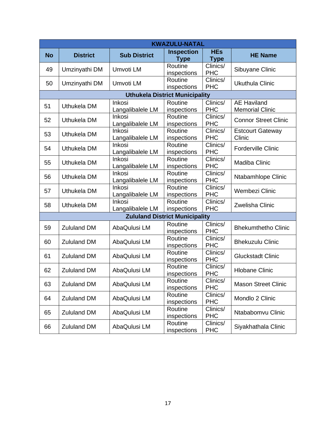|           | <b>KWAZULU-NATAL</b> |                                   |                                       |                           |                                              |  |
|-----------|----------------------|-----------------------------------|---------------------------------------|---------------------------|----------------------------------------------|--|
| <b>No</b> | <b>District</b>      | <b>Sub District</b>               | <b>Inspection</b><br><b>Type</b>      | <b>HEs</b><br><b>Type</b> | <b>HE Name</b>                               |  |
| 49        | Umzinyathi DM        | Umvoti LM                         | Routine<br>inspections                | Clinics/<br><b>PHC</b>    | Sibuyane Clinic                              |  |
| 50        | Umzinyathi DM        | Umvoti LM                         | Routine<br>inspections                | Clinics/<br><b>PHC</b>    | <b>Ukuthula Clinic</b>                       |  |
|           |                      |                                   | <b>Uthukela District Municipality</b> |                           |                                              |  |
| 51        | Uthukela DM          | Inkosi<br>Langalibalele LM        | Routine<br>inspections                | Clinics/<br><b>PHC</b>    | <b>AE Haviland</b><br><b>Memorial Clinic</b> |  |
| 52        | Uthukela DM          | Inkosi<br>Langalibalele LM        | Routine<br>inspections                | Clinics/<br><b>PHC</b>    | <b>Connor Street Clinic</b>                  |  |
| 53        | Uthukela DM          | Inkosi<br>Langalibalele LM        | Routine<br>inspections                | Clinics/<br><b>PHC</b>    | <b>Estcourt Gateway</b><br>Clinic            |  |
| 54        | Uthukela DM          | <b>Inkosi</b><br>Langalibalele LM | Routine<br>inspections                | Clinics/<br><b>PHC</b>    | <b>Forderville Clinic</b>                    |  |
| 55        | Uthukela DM          | Inkosi<br>Langalibalele LM        | Routine<br>inspections                | Clinics/<br><b>PHC</b>    | Madiba Clinic                                |  |
| 56        | Uthukela DM          | Inkosi<br>Langalibalele LM        | Routine<br>inspections                | Clinics/<br><b>PHC</b>    | Ntabamhlope Clinic                           |  |
| 57        | Uthukela DM          | <b>Inkosi</b><br>Langalibalele LM | Routine<br>inspections                | Clinics/<br><b>PHC</b>    | Wembezi Clinic                               |  |
| 58        | Uthukela DM          | Inkosi<br>Langalibalele LM        | Routine<br>inspections                | Clinics/<br><b>PHC</b>    | <b>Zwelisha Clinic</b>                       |  |
|           |                      |                                   | <b>Zululand District Municipality</b> |                           |                                              |  |
| 59        | <b>Zululand DM</b>   | AbaQulusi LM                      | Routine<br>inspections                | Clinics/<br><b>PHC</b>    | <b>Bhekumthetho Clinic</b>                   |  |
| 60        | <b>Zululand DM</b>   | AbaQulusi LM                      | Routine<br>inspections                | Clinics/<br><b>PHC</b>    | <b>Bhekuzulu Clinic</b>                      |  |
| 61        | <b>Zululand DM</b>   | AbaQulusi LM                      | Routine<br>inspections                | Clinics/<br><b>PHC</b>    | <b>Gluckstadt Clinic</b>                     |  |
| 62        | <b>Zululand DM</b>   | AbaQulusi LM                      | Routine<br>inspections                | Clinics/<br><b>PHC</b>    | <b>Hlobane Clinic</b>                        |  |
| 63        | <b>Zululand DM</b>   | AbaQulusi LM                      | Routine<br>inspections                | Clinics/<br><b>PHC</b>    | <b>Mason Street Clinic</b>                   |  |
| 64        | <b>Zululand DM</b>   | AbaQulusi LM                      | Routine<br>inspections                | Clinics/<br><b>PHC</b>    | Mondlo 2 Clinic                              |  |
| 65        | <b>Zululand DM</b>   | AbaQulusi LM                      | Routine<br>inspections                | Clinics/<br><b>PHC</b>    | Ntababomvu Clinic                            |  |
| 66        | <b>Zululand DM</b>   | AbaQulusi LM                      | Routine<br>inspections                | Clinics/<br><b>PHC</b>    | Siyakhathala Clinic                          |  |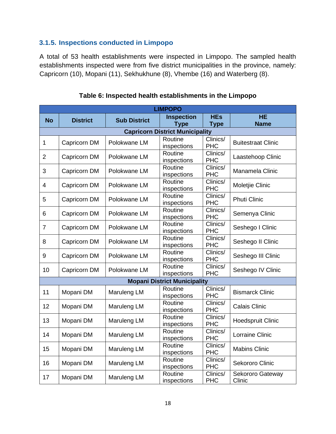# **3.1.5. Inspections conducted in Limpopo**

<span id="page-20-0"></span>A total of 53 health establishments were inspected in Limpopo. The sampled health establishments inspected were from five district municipalities in the province, namely: Capricorn (10), Mopani (11), Sekhukhune (8), Vhembe (16) and Waterberg (8).

| <b>LIMPOPO</b> |                                        |                     |                                     |                           |                            |  |  |  |  |  |
|----------------|----------------------------------------|---------------------|-------------------------------------|---------------------------|----------------------------|--|--|--|--|--|
| <b>No</b>      | <b>District</b>                        | <b>Sub District</b> | <b>Inspection</b><br><b>Type</b>    | <b>HEs</b><br><b>Type</b> | <b>HE</b><br><b>Name</b>   |  |  |  |  |  |
|                | <b>Capricorn District Municipality</b> |                     |                                     |                           |                            |  |  |  |  |  |
| $\mathbf{1}$   | Capricorn DM                           | Polokwane LM        | Routine<br>inspections              | Clinics/<br><b>PHC</b>    | <b>Buitestraat Clinic</b>  |  |  |  |  |  |
| $\overline{2}$ | Capricorn DM                           | Polokwane LM        | Routine<br>inspections              | Clinics/<br><b>PHC</b>    | Laastehoop Clinic          |  |  |  |  |  |
| 3              | Capricorn DM                           | Polokwane LM        | Routine<br>inspections              | Clinics/<br><b>PHC</b>    | Manamela Clinic            |  |  |  |  |  |
| $\overline{4}$ | Capricorn DM                           | Polokwane LM        | Routine<br>inspections              | Clinics/<br><b>PHC</b>    | Moletjie Clinic            |  |  |  |  |  |
| 5              | Capricorn DM                           | Polokwane LM        | Routine<br>inspections              | Clinics/<br><b>PHC</b>    | <b>Phuti Clinic</b>        |  |  |  |  |  |
| 6              | Capricorn DM                           | Polokwane LM        | Routine<br>inspections              | Clinics/<br><b>PHC</b>    | Semenya Clinic             |  |  |  |  |  |
| $\overline{7}$ | Capricorn DM                           | Polokwane LM        | Routine<br>inspections              | Clinics/<br><b>PHC</b>    | Seshego I Clinic           |  |  |  |  |  |
| 8              | Capricorn DM                           | Polokwane LM        | Routine<br>inspections              | Clinics/<br><b>PHC</b>    | Seshego II Clinic          |  |  |  |  |  |
| 9              | Capricorn DM                           | Polokwane LM        | Routine<br>inspections              | Clinics/<br><b>PHC</b>    | Seshego III Clinic         |  |  |  |  |  |
| 10             | Capricorn DM                           | Polokwane LM        | Routine<br>inspections              | Clinics/<br><b>PHC</b>    | Seshego IV Clinic          |  |  |  |  |  |
|                |                                        |                     | <b>Mopani District Municipality</b> |                           |                            |  |  |  |  |  |
| 11             | Mopani DM                              | Maruleng LM         | Routine<br>inspections              | Clinics/<br><b>PHC</b>    | <b>Bismarck Clinic</b>     |  |  |  |  |  |
| 12             | Mopani DM                              | Maruleng LM         | Routine<br>inspections              | Clinics/<br><b>PHC</b>    | <b>Calais Clinic</b>       |  |  |  |  |  |
| 13             | Mopani DM                              | Maruleng LM         | Routine<br>inspections              | Clinics/<br><b>PHC</b>    | <b>Hoedspruit Clinic</b>   |  |  |  |  |  |
| 14             | Mopani DM                              | Maruleng LM         | Routine<br>inspections              | Clinics/<br><b>PHC</b>    | Lorraine Clinic            |  |  |  |  |  |
| 15             | Mopani DM                              | Maruleng LM         | Routine<br>inspections              | Clinics/<br><b>PHC</b>    | <b>Mabins Clinic</b>       |  |  |  |  |  |
| 16             | Mopani DM                              | Maruleng LM         | Routine<br>inspections              | Clinics/<br><b>PHC</b>    | Sekororo Clinic            |  |  |  |  |  |
| 17             | Mopani DM                              | Maruleng LM         | Routine<br>inspections              | Clinics/<br><b>PHC</b>    | Sekororo Gateway<br>Clinic |  |  |  |  |  |

#### **Table 6: Inspected health establishments in the Limpopo**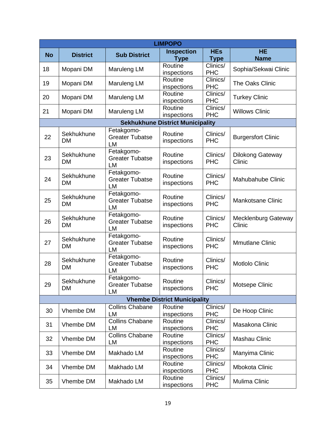| <b>LIMPOPO</b> |                 |                                      |                                         |                        |                           |  |  |
|----------------|-----------------|--------------------------------------|-----------------------------------------|------------------------|---------------------------|--|--|
| <b>No</b>      | <b>District</b> | <b>Sub District</b>                  | <b>Inspection</b>                       | <b>HEs</b>             | <b>HE</b>                 |  |  |
|                |                 |                                      | <b>Type</b>                             | <b>Type</b>            | <b>Name</b>               |  |  |
| 18             | Mopani DM       | Maruleng LM                          | Routine                                 | Clinics/               | Sophia/Sekwai Clinic      |  |  |
|                |                 |                                      | inspections                             | <b>PHC</b>             |                           |  |  |
| 19             | Mopani DM       | Maruleng LM                          | Routine<br>inspections                  | Clinics/<br><b>PHC</b> | The Oaks Clinic           |  |  |
|                |                 |                                      | Routine                                 | Clinics/               |                           |  |  |
| 20             | Mopani DM       | Maruleng LM                          | inspections                             | <b>PHC</b>             | <b>Turkey Clinic</b>      |  |  |
|                |                 |                                      | Routine                                 | Clinics/               |                           |  |  |
| 21             | Mopani DM       | Maruleng LM                          | inspections                             | <b>PHC</b>             | <b>Willows Clinic</b>     |  |  |
|                |                 |                                      | <b>Sekhukhune District Municipality</b> |                        |                           |  |  |
|                | Sekhukhune      | Fetakgomo-                           | Routine                                 | Clinics/               |                           |  |  |
| 22             | DM              | <b>Greater Tubatse</b>               | inspections                             | <b>PHC</b>             | <b>Burgersfort Clinic</b> |  |  |
|                |                 | LM                                   |                                         |                        |                           |  |  |
|                | Sekhukhune      | Fetakgomo-<br><b>Greater Tubatse</b> | Routine                                 | Clinics/               | Dilokong Gateway          |  |  |
| 23             | DM              | <b>LM</b>                            | inspections                             | <b>PHC</b>             | Clinic                    |  |  |
|                |                 | Fetakgomo-                           |                                         |                        |                           |  |  |
| 24             | Sekhukhune      | <b>Greater Tubatse</b>               | Routine                                 | Clinics/               | Mahubahube Clinic         |  |  |
|                | DM              | LM                                   | inspections                             | <b>PHC</b>             |                           |  |  |
|                | Sekhukhune      | Fetakgomo-                           | Routine                                 | Clinics/               |                           |  |  |
| 25             | DM              | <b>Greater Tubatse</b>               | inspections                             | <b>PHC</b>             | <b>Mankotsane Clinic</b>  |  |  |
|                |                 | LM                                   |                                         |                        |                           |  |  |
|                | Sekhukhune      | Fetakgomo-                           | Routine                                 | Clinics/               | Mecklenburg Gateway       |  |  |
| 26             | DM              | <b>Greater Tubatse</b><br>LM         | inspections                             | <b>PHC</b>             | Clinic                    |  |  |
|                |                 | Fetakgomo-                           |                                         |                        |                           |  |  |
| 27             | Sekhukhune      | <b>Greater Tubatse</b>               | Routine                                 | Clinics/               | <b>Mmutlane Clinic</b>    |  |  |
|                | DM              | LM                                   | inspections                             | <b>PHC</b>             |                           |  |  |
|                | Sekhukhune      | Fetakgomo-                           | Routine                                 | Clinics/               |                           |  |  |
| 28             | DM              | <b>Greater Tubatse</b>               | inspections                             | <b>PHC</b>             | <b>Motlolo Clinic</b>     |  |  |
|                |                 | LM                                   |                                         |                        |                           |  |  |
| 29             | Sekhukhune      | Fetakgomo-<br><b>Greater Tubatse</b> | Routine                                 | Clinics/               |                           |  |  |
|                | DM              | LM                                   | inspections                             | <b>PHC</b>             | Motsepe Clinic            |  |  |
|                |                 |                                      | <b>Vhembe District Municipality</b>     |                        |                           |  |  |
|                |                 | <b>Collins Chabane</b>               | Routine                                 | Clinics/               |                           |  |  |
| 30             | Vhembe DM       | LM                                   | inspections                             | <b>PHC</b>             | De Hoop Clinic            |  |  |
| 31             | Vhembe DM       | <b>Collins Chabane</b>               | Routine                                 | Clinics/               | Masakona Clinic           |  |  |
|                |                 | LM                                   | inspections                             | <b>PHC</b>             |                           |  |  |
| 32             | Vhembe DM       | <b>Collins Chabane</b>               | Routine                                 | Clinics/               | Mashau Clinic             |  |  |
|                |                 | LM                                   | inspections                             | <b>PHC</b>             |                           |  |  |
| 33             | Vhembe DM       | Makhado LM                           | Routine                                 | Clinics/<br><b>PHC</b> | Manyima Clinic            |  |  |
|                |                 |                                      | inspections<br>Routine                  | Clinics/               |                           |  |  |
| 34             | Vhembe DM       | Makhado LM                           | inspections                             | <b>PHC</b>             | <b>Mbokota Clinic</b>     |  |  |
|                |                 |                                      | Routine                                 | Clinics/               |                           |  |  |
| 35             | Vhembe DM       | Makhado LM                           | inspections                             | <b>PHC</b>             | Mulima Clinic             |  |  |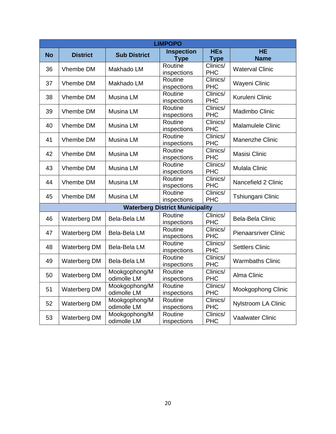| <b>LIMPOPO</b> |                     |                              |                                        |                           |                             |  |  |
|----------------|---------------------|------------------------------|----------------------------------------|---------------------------|-----------------------------|--|--|
| <b>No</b>      | <b>District</b>     | <b>Sub District</b>          | <b>Inspection</b><br><b>Type</b>       | <b>HEs</b><br><b>Type</b> | <b>HE</b><br><b>Name</b>    |  |  |
| 36             | Vhembe DM           | Makhado LM                   | Routine<br>inspections                 | Clinics/<br><b>PHC</b>    | <b>Waterval Clinic</b>      |  |  |
| 37             | Vhembe DM           | Makhado LM                   | Routine<br>inspections                 | Clinics/<br><b>PHC</b>    | Wayeni Clinic               |  |  |
| 38             | Vhembe DM           | Musina LM                    | Routine<br>inspections                 | Clinics/<br><b>PHC</b>    | Kuruleni Clinic             |  |  |
| 39             | Vhembe DM           | Musina LM                    | Routine<br>inspections                 | Clinics/<br><b>PHC</b>    | Madimbo Clinic              |  |  |
| 40             | Vhembe DM           | Musina LM                    | Routine<br>inspections                 | Clinics/<br><b>PHC</b>    | <b>Malamulele Clinic</b>    |  |  |
| 41             | Vhembe DM           | Musina LM                    | Routine<br>inspections                 | Clinics/<br><b>PHC</b>    | Manenzhe Clinic             |  |  |
| 42             | Vhembe DM           | Musina LM                    | Routine<br>inspections                 | Clinics/<br><b>PHC</b>    | Masisi Clinic               |  |  |
| 43             | Vhembe DM           | Musina LM                    | Routine<br>inspections                 | Clinics/<br><b>PHC</b>    | Mulala Clinic               |  |  |
| 44             | Vhembe DM           | Musina LM                    | Routine<br>inspections                 | Clinics/<br><b>PHC</b>    | Nancefield 2 Clinic         |  |  |
| 45             | Vhembe DM           | Musina LM                    | Routine<br>inspections                 | Clinics/<br><b>PHC</b>    | Tshiungani Clinic           |  |  |
|                |                     |                              | <b>Waterberg District Municipality</b> |                           |                             |  |  |
| 46             | Waterberg DM        | Bela-Bela LM                 | Routine<br>inspections                 | Clinics/<br><b>PHC</b>    | Bela-Bela Clinic            |  |  |
| 47             | <b>Waterberg DM</b> | Bela-Bela LM                 | Routine<br>inspections                 | Clinics/<br><b>PHC</b>    | <b>Pienaarsriver Clinic</b> |  |  |
| 48             | <b>Waterberg DM</b> | Bela-Bela LM                 | Routine<br>inspections                 | Clinics/<br><b>PHC</b>    | <b>Settlers Clinic</b>      |  |  |
| 49             | <b>Waterberg DM</b> | Bela-Bela LM                 | Routine<br>inspections                 | Clinics/<br><b>PHC</b>    | <b>Warmbaths Clinic</b>     |  |  |
| 50             | Waterberg DM        | Mookgophong/M<br>odimolle LM | Routine<br>inspections                 | Clinics/<br><b>PHC</b>    | Alma Clinic                 |  |  |
| 51             | <b>Waterberg DM</b> | Mookgophong/M<br>odimolle LM | Routine<br>inspections                 | Clinics/<br><b>PHC</b>    | Mookgophong Clinic          |  |  |
| 52             | <b>Waterberg DM</b> | Mookgophong/M<br>odimolle LM | Routine<br>inspections                 | Clinics/<br><b>PHC</b>    | Nylstroom LA Clinic         |  |  |
| 53             | Waterberg DM        | Mookgophong/M<br>odimolle LM | Routine<br>inspections                 | Clinics/<br><b>PHC</b>    | <b>Vaalwater Clinic</b>     |  |  |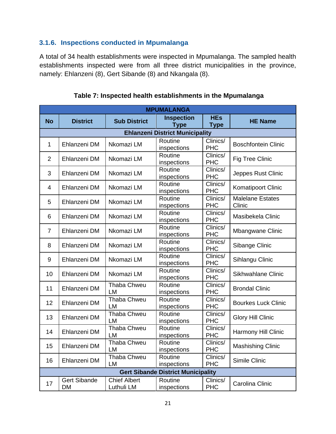# **3.1.6. Inspections conducted in Mpumalanga**

<span id="page-23-0"></span>A total of 34 health establishments were inspected in Mpumalanga. The sampled health establishments inspected were from all three district municipalities in the province, namely: Ehlanzeni (8), Gert Sibande (8) and Nkangala (8).

| <b>MPUMALANGA</b> |                                  |                                   |                                           |                           |                                   |  |  |
|-------------------|----------------------------------|-----------------------------------|-------------------------------------------|---------------------------|-----------------------------------|--|--|
| <b>No</b>         | <b>District</b>                  | <b>Sub District</b>               | <b>Inspection</b><br><b>Type</b>          | <b>HEs</b><br><b>Type</b> | <b>HE Name</b>                    |  |  |
|                   |                                  |                                   | <b>Ehlanzeni District Municipality</b>    |                           |                                   |  |  |
| $\mathbf{1}$      | Ehlanzeni DM                     | Nkomazi LM                        | Routine<br>inspections                    | Clinics/<br><b>PHC</b>    | <b>Boschfontein Clinic</b>        |  |  |
| $\overline{2}$    | Ehlanzeni DM                     | Nkomazi LM                        | Routine<br>inspections                    | Clinics/<br><b>PHC</b>    | Fig Tree Clinic                   |  |  |
| 3                 | Ehlanzeni DM                     | Nkomazi LM                        | Routine<br>inspections                    | Clinics/<br><b>PHC</b>    | Jeppes Rust Clinic                |  |  |
| 4                 | Ehlanzeni DM                     | Nkomazi LM                        | Routine<br>inspections                    | Clinics/<br><b>PHC</b>    | Komatipoort Clinic                |  |  |
| 5                 | Ehlanzeni DM                     | Nkomazi LM                        | Routine<br>inspections                    | Clinics/<br><b>PHC</b>    | <b>Malelane Estates</b><br>Clinic |  |  |
| 6                 | Ehlanzeni DM                     | Nkomazi LM                        | Routine<br>inspections                    | Clinics/<br><b>PHC</b>    | Masibekela Clinic                 |  |  |
| $\overline{7}$    | Ehlanzeni DM                     | Nkomazi LM                        | Routine<br>inspections                    | Clinics/<br><b>PHC</b>    | Mbangwane Clinic                  |  |  |
| 8                 | Ehlanzeni DM                     | Nkomazi LM                        | Routine<br>inspections                    | Clinics/<br><b>PHC</b>    | Sibange Clinic                    |  |  |
| 9                 | Ehlanzeni DM                     | Nkomazi LM                        | Routine<br>inspections                    | Clinics/<br><b>PHC</b>    | Sihlangu Clinic                   |  |  |
| 10                | Ehlanzeni DM                     | Nkomazi LM                        | Routine<br>inspections                    | Clinics/<br><b>PHC</b>    | <b>Sikhwahlane Clinic</b>         |  |  |
| 11                | Ehlanzeni DM                     | Thaba Chweu<br>LM                 | Routine<br>inspections                    | Clinics/<br><b>PHC</b>    | <b>Brondal Clinic</b>             |  |  |
| 12                | Ehlanzeni DM                     | Thaba Chweu<br><b>LM</b>          | Routine<br>inspections                    | Clinics/<br><b>PHC</b>    | <b>Bourkes Luck Clinic</b>        |  |  |
| 13                | Ehlanzeni DM                     | Thaba Chweu<br><b>LM</b>          | Routine<br>inspections                    | Clinics/<br><b>PHC</b>    | <b>Glory Hill Clinic</b>          |  |  |
| 14                | Ehlanzeni DM                     | Thaba Chweu<br><b>LM</b>          | Routine<br>inspections                    | Clinics/<br><b>PHC</b>    | Harmony Hill Clinic               |  |  |
| 15                | Ehlanzeni DM                     | Thaba Chweu<br><b>LM</b>          | Routine<br>inspections                    | Clinics/<br><b>PHC</b>    | <b>Mashishing Clinic</b>          |  |  |
| 16                | Ehlanzeni DM                     | <b>Thaba Chweu</b><br><b>LM</b>   | Routine<br>inspections                    | Clinics/<br><b>PHC</b>    | Simile Clinic                     |  |  |
|                   |                                  |                                   | <b>Gert Sibande District Municipality</b> |                           |                                   |  |  |
| 17                | <b>Gert Sibande</b><br><b>DM</b> | <b>Chief Albert</b><br>Luthuli LM | Routine<br>inspections                    | Clinics/<br><b>PHC</b>    | Carolina Clinic                   |  |  |

**Table 7: Inspected health establishments in the Mpumalanga**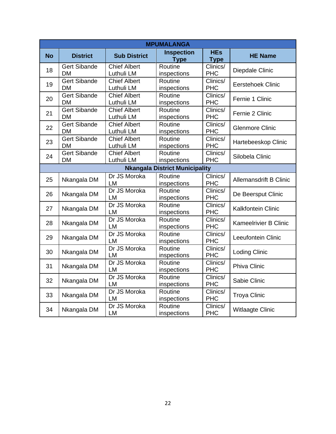| <b>MPUMALANGA</b> |                                  |                                   |                                       |                           |                               |  |  |
|-------------------|----------------------------------|-----------------------------------|---------------------------------------|---------------------------|-------------------------------|--|--|
| <b>No</b>         | <b>District</b>                  | <b>Sub District</b>               | <b>Inspection</b><br><b>Type</b>      | <b>HEs</b><br><b>Type</b> | <b>HE Name</b>                |  |  |
| 18                | <b>Gert Sibande</b><br><b>DM</b> | <b>Chief Albert</b><br>Luthuli LM | Routine<br>inspections                | Clinics/<br><b>PHC</b>    | Diepdale Clinic               |  |  |
| 19                | <b>Gert Sibande</b><br><b>DM</b> | <b>Chief Albert</b><br>Luthuli LM | Routine<br>inspections                | Clinics/<br><b>PHC</b>    | <b>Eerstehoek Clinic</b>      |  |  |
| 20                | <b>Gert Sibande</b><br><b>DM</b> | <b>Chief Albert</b><br>Luthuli LM | Routine<br>inspections                | Clinics/<br><b>PHC</b>    | Fernie 1 Clinic               |  |  |
| 21                | <b>Gert Sibande</b><br><b>DM</b> | <b>Chief Albert</b><br>Luthuli LM | Routine<br>inspections                | Clinics/<br><b>PHC</b>    | Fernie 2 Clinic               |  |  |
| 22                | <b>Gert Sibande</b><br><b>DM</b> | <b>Chief Albert</b><br>Luthuli LM | Routine<br>inspections                | Clinics/<br><b>PHC</b>    | <b>Glenmore Clinic</b>        |  |  |
| 23                | <b>Gert Sibande</b><br><b>DM</b> | <b>Chief Albert</b><br>Luthuli LM | Routine<br>inspections                | Clinics/<br><b>PHC</b>    | Hartebeeskop Clinic           |  |  |
| 24                | <b>Gert Sibande</b><br><b>DM</b> | <b>Chief Albert</b><br>Luthuli LM | Routine<br>inspections                | Clinics/<br><b>PHC</b>    | Silobela Clinic               |  |  |
|                   |                                  |                                   | <b>Nkangala District Municipality</b> |                           |                               |  |  |
| 25                | Nkangala DM                      | Dr JS Moroka<br>LM                | Routine<br>inspections                | Clinics/<br><b>PHC</b>    | <b>Allemansdrift B Clinic</b> |  |  |
| 26                | Nkangala DM                      | Dr JS Moroka<br>LM                | Routine<br>inspections                | Clinics/<br><b>PHC</b>    | De Beersput Clinic            |  |  |
| 27                | Nkangala DM                      | Dr JS Moroka<br><b>LM</b>         | Routine<br>inspections                | Clinics/<br><b>PHC</b>    | <b>Kalkfontein Clinic</b>     |  |  |
| 28                | Nkangala DM                      | Dr JS Moroka<br><b>LM</b>         | Routine<br>inspections                | Clinics/<br><b>PHC</b>    | <b>Kameelrivier B Clinic</b>  |  |  |
| 29                | Nkangala DM                      | Dr JS Moroka<br>LM                | Routine<br>inspections                | Clinics/<br><b>PHC</b>    | Leeufontein Clinic            |  |  |
| 30                | Nkangala DM                      | Dr JS Moroka<br><b>LM</b>         | Routine<br>inspections                | Clinics/<br><b>PHC</b>    | <b>Loding Clinic</b>          |  |  |
| 31                | Nkangala DM                      | Dr JS Moroka<br>LM                | Routine<br>inspections                | Clinics/<br><b>PHC</b>    | <b>Phiva Clinic</b>           |  |  |
| 32                | Nkangala DM                      | Dr JS Moroka<br><b>LM</b>         | Routine<br>inspections                | Clinics/<br><b>PHC</b>    | Sabie Clinic                  |  |  |
| 33                | Nkangala DM                      | Dr JS Moroka<br>LM                | Routine<br>inspections                | Clinics/<br><b>PHC</b>    | <b>Troya Clinic</b>           |  |  |
| 34                | Nkangala DM                      | Dr JS Moroka<br>LM                | Routine<br>inspections                | Clinics/<br><b>PHC</b>    | Witlaagte Clinic              |  |  |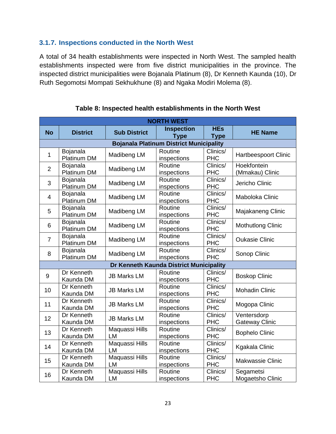## **3.1.7. Inspections conducted in the North West**

<span id="page-25-0"></span>A total of 34 health establishments were inspected in North West. The sampled health establishments inspected were from five district municipalities in the province. The inspected district municipalities were Bojanala Platinum (8), Dr Kenneth Kaunda (10), Dr Ruth Segomotsi Mompati Sekhukhune (8) and Ngaka Modiri Molema (8).

| <b>NORTH WEST</b> |                         |                             |                                                |                           |                                      |
|-------------------|-------------------------|-----------------------------|------------------------------------------------|---------------------------|--------------------------------------|
| <b>No</b>         | <b>District</b>         | <b>Sub District</b>         | <b>Inspection</b><br><b>Type</b>               | <b>HEs</b><br><b>Type</b> | <b>HE Name</b>                       |
|                   |                         |                             | <b>Bojanala Platinum District Municipality</b> |                           |                                      |
| 1                 | Bojanala<br>Platinum DM | Madibeng LM                 | Routine<br>inspections                         | Clinics/<br><b>PHC</b>    | Hartbeespoort Clinic                 |
| $\overline{2}$    | Bojanala<br>Platinum DM | Madibeng LM                 | Routine<br>inspections                         | Clinics/<br><b>PHC</b>    | Hoekfontein<br>(Mmakau) Clinic       |
| 3                 | Bojanala<br>Platinum DM | Madibeng LM                 | Routine<br>inspections                         | Clinics/<br><b>PHC</b>    | Jericho Clinic                       |
| $\overline{4}$    | Bojanala<br>Platinum DM | Madibeng LM                 | Routine<br>inspections                         | Clinics/<br><b>PHC</b>    | Maboloka Clinic                      |
| 5                 | Bojanala<br>Platinum DM | Madibeng LM                 | Routine<br>inspections                         | Clinics/<br><b>PHC</b>    | Majakaneng Clinic                    |
| 6                 | Bojanala<br>Platinum DM | Madibeng LM                 | Routine<br>inspections                         | Clinics/<br><b>PHC</b>    | <b>Mothutlong Clinic</b>             |
| $\overline{7}$    | Bojanala<br>Platinum DM | Madibeng LM                 | Routine<br>inspections                         | Clinics/<br><b>PHC</b>    | <b>Oukasie Clinic</b>                |
| 8                 | Bojanala<br>Platinum DM | Madibeng LM                 | Routine<br>inspections                         | Clinics/<br><b>PHC</b>    | Sonop Clinic                         |
|                   |                         |                             | Dr Kenneth Kaunda District Municipality        |                           |                                      |
| 9                 | Dr Kenneth<br>Kaunda DM | <b>JB Marks LM</b>          | Routine<br>inspections                         | Clinics/<br><b>PHC</b>    | <b>Boskop Clinic</b>                 |
| 10                | Dr Kenneth<br>Kaunda DM | <b>JB Marks LM</b>          | Routine<br>inspections                         | Clinics/<br><b>PHC</b>    | <b>Mohadin Clinic</b>                |
| 11                | Dr Kenneth<br>Kaunda DM | <b>JB Marks LM</b>          | Routine<br>inspections                         | Clinics/<br><b>PHC</b>    | Mogopa Clinic                        |
| 12                | Dr Kenneth<br>Kaunda DM | <b>JB Marks LM</b>          | Routine<br>inspections                         | Clinics/<br><b>PHC</b>    | Ventersdorp<br><b>Gateway Clinic</b> |
| 13                | Dr Kenneth<br>Kaunda DM | Maquassi Hills<br>LM        | Routine<br>inspections                         | Clinics/<br><b>PHC</b>    | <b>Bophelo Clinic</b>                |
| 14                | Dr Kenneth<br>Kaunda DM | <b>Maquassi Hills</b><br>LM | Routine<br>inspections                         | Clinics/<br><b>PHC</b>    | <b>Kgakala Clinic</b>                |
| 15                | Dr Kenneth<br>Kaunda DM | <b>Maquassi Hills</b><br>LM | Routine<br>inspections                         | Clinics/<br><b>PHC</b>    | Makwassie Clinic                     |
| 16                | Dr Kenneth<br>Kaunda DM | Maquassi Hills<br>LM        | Routine<br>inspections                         | Clinics/<br><b>PHC</b>    | Segametsi<br>Mogaetsho Clinic        |

**Table 8: Inspected health establishments in the North West**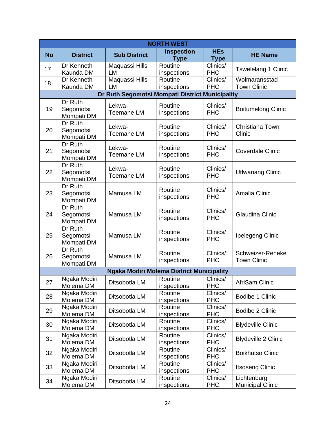| <b>NORTH WEST</b> |                                    |                                                  |                                  |                           |                                        |
|-------------------|------------------------------------|--------------------------------------------------|----------------------------------|---------------------------|----------------------------------------|
| <b>No</b>         | <b>District</b>                    | <b>Sub District</b>                              | <b>Inspection</b><br><b>Type</b> | <b>HEs</b><br><b>Type</b> | <b>HE Name</b>                         |
| 17                | Dr Kenneth<br>Kaunda DM            | Maquassi Hills<br>LM                             | Routine<br>inspections           | Clinics/<br><b>PHC</b>    | <b>Tswelelang 1 Clinic</b>             |
| 18                | Dr Kenneth<br>Kaunda DM            | Maquassi Hills<br>LM                             | Routine<br>inspections           | Clinics/<br><b>PHC</b>    | Wolmaransstad<br><b>Town Clinic</b>    |
|                   |                                    | Dr Ruth Segomotsi Mompati District Municipality  |                                  |                           |                                        |
| 19                | Dr Ruth<br>Segomotsi<br>Mompati DM | Lekwa-<br><b>Teemane LM</b>                      | Routine<br>inspections           | Clinics/<br><b>PHC</b>    | <b>Boitumelong Clinic</b>              |
| 20                | Dr Ruth<br>Segomotsi<br>Mompati DM | Lekwa-<br><b>Teemane LM</b>                      | Routine<br>inspections           | Clinics/<br><b>PHC</b>    | Christiana Town<br>Clinic              |
| 21                | Dr Ruth<br>Segomotsi<br>Mompati DM | Lekwa-<br><b>Teemane LM</b>                      | Routine<br>inspections           | Clinics/<br><b>PHC</b>    | <b>Coverdale Clinic</b>                |
| 22                | Dr Ruth<br>Segomotsi<br>Mompati DM | Lekwa-<br><b>Teemane LM</b>                      | Routine<br>inspections           | Clinics/<br><b>PHC</b>    | <b>Utlwanang Clinic</b>                |
| 23                | Dr Ruth<br>Segomotsi<br>Mompati DM | Mamusa LM                                        | Routine<br>inspections           | Clinics/<br><b>PHC</b>    | Amalia Clinic                          |
| 24                | Dr Ruth<br>Segomotsi<br>Mompati DM | Mamusa LM                                        | Routine<br>inspections           | Clinics/<br><b>PHC</b>    | <b>Glaudina Clinic</b>                 |
| 25                | Dr Ruth<br>Segomotsi<br>Mompati DM | Mamusa LM                                        | Routine<br>inspections           | Clinics/<br><b>PHC</b>    | Ipelegeng Clinic                       |
| 26                | Dr Ruth<br>Segomotsi<br>Mompati DM | Mamusa LM                                        | Routine<br>inspections           | Clinics/<br><b>PHC</b>    | Schweizer-Reneke<br><b>Town Clinic</b> |
|                   |                                    | <b>Ngaka Modiri Molema District Municipality</b> |                                  |                           |                                        |
| 27                | Ngaka Modiri<br>Molema DM          | Ditsobotla LM                                    | Routine<br>inspections           | Clinics/<br><b>PHC</b>    | AfriSam Clinic                         |
| 28                | Ngaka Modiri<br>Molema DM          | Ditsobotla LM                                    | Routine<br>inspections           | Clinics/<br><b>PHC</b>    | Bodibe 1 Clinic                        |
| 29                | Ngaka Modiri<br>Molema DM          | Ditsobotla LM                                    | Routine<br>inspections           | Clinics/<br><b>PHC</b>    | Bodibe 2 Clinic                        |
| 30                | Ngaka Modiri<br>Molema DM          | Ditsobotla LM                                    | Routine<br>inspections           | Clinics/<br><b>PHC</b>    | <b>Blydeville Clinic</b>               |
| 31                | Ngaka Modiri<br>Molema DM          | Ditsobotla LM                                    | Routine<br>inspections           | Clinics/<br><b>PHC</b>    | <b>Blydeville 2 Clinic</b>             |
| 32                | Ngaka Modiri<br>Molema DM          | Ditsobotla LM                                    | Routine<br>inspections           | Clinics/<br><b>PHC</b>    | <b>Boikhutso Clinic</b>                |
| 33                | Ngaka Modiri<br>Molema DM          | Ditsobotla LM                                    | Routine<br>inspections           | Clinics/<br><b>PHC</b>    | <b>Itsoseng Clinic</b>                 |
| 34                | Ngaka Modiri<br>Molema DM          | Ditsobotla LM                                    | Routine<br>inspections           | Clinics/<br><b>PHC</b>    | Lichtenburg<br><b>Municipal Clinic</b> |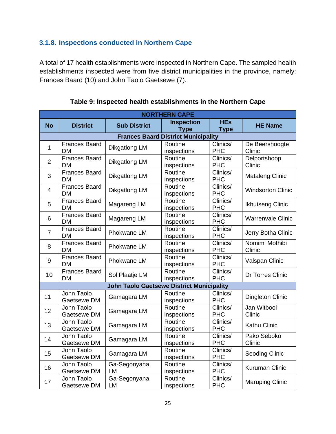# **3.1.8. Inspections conducted in Northern Cape**

<span id="page-27-0"></span>A total of 17 health establishments were inspected in Northern Cape. The sampled health establishments inspected were from five district municipalities in the province, namely: Frances Baard (10) and John Taolo Gaetsewe (7).

|                | <b>NORTHERN CAPE</b>                       |                                                  |                                  |                           |                          |  |  |
|----------------|--------------------------------------------|--------------------------------------------------|----------------------------------|---------------------------|--------------------------|--|--|
| <b>No</b>      | <b>District</b>                            | <b>Sub District</b>                              | <b>Inspection</b><br><b>Type</b> | <b>HEs</b><br><b>Type</b> | <b>HE Name</b>           |  |  |
|                | <b>Frances Baard District Municipality</b> |                                                  |                                  |                           |                          |  |  |
| $\mathbf{1}$   | <b>Frances Baard</b><br><b>DM</b>          | <b>Dikgatlong LM</b>                             | Routine<br>inspections           | Clinics/<br><b>PHC</b>    | De Beershoogte<br>Clinic |  |  |
| $\overline{2}$ | <b>Frances Baard</b><br><b>DM</b>          | Dikgatlong LM                                    | Routine<br>inspections           | Clinics/<br><b>PHC</b>    | Delportshoop<br>Clinic   |  |  |
| 3              | <b>Frances Baard</b><br><b>DM</b>          | Dikgatlong LM                                    | Routine<br>inspections           | Clinics/<br><b>PHC</b>    | <b>Mataleng Clinic</b>   |  |  |
| 4              | <b>Frances Baard</b><br><b>DM</b>          | <b>Dikgatlong LM</b>                             | Routine<br>inspections           | Clinics/<br><b>PHC</b>    | <b>Windsorton Clinic</b> |  |  |
| 5              | <b>Frances Baard</b><br><b>DM</b>          | Magareng LM                                      | Routine<br>inspections           | Clinics/<br><b>PHC</b>    | Ikhutseng Clinic         |  |  |
| 6              | <b>Frances Baard</b><br><b>DM</b>          | Magareng LM                                      | Routine<br>inspections           | Clinics/<br><b>PHC</b>    | <b>Warrenvale Clinic</b> |  |  |
| $\overline{7}$ | <b>Frances Baard</b><br><b>DM</b>          | Phokwane LM                                      | Routine<br>inspections           | Clinics/<br><b>PHC</b>    | Jerry Botha Clinic       |  |  |
| 8              | <b>Frances Baard</b><br><b>DM</b>          | Phokwane LM                                      | Routine<br>inspections           | Clinics/<br><b>PHC</b>    | Nomimi Mothibi<br>Clinic |  |  |
| 9              | <b>Frances Baard</b><br><b>DM</b>          | Phokwane LM                                      | Routine<br>inspections           | Clinics/<br><b>PHC</b>    | Valspan Clinic           |  |  |
| 10             | <b>Frances Baard</b><br><b>DM</b>          | Sol Plaatje LM                                   | Routine<br>inspections           | Clinics/<br><b>PHC</b>    | <b>Dr Torres Clinic</b>  |  |  |
|                |                                            | <b>John Taolo Gaetsewe District Municipality</b> |                                  |                           |                          |  |  |
| 11             | John Taolo<br>Gaetsewe DM                  | Gamagara LM                                      | Routine<br>inspections           | Clinics/<br><b>PHC</b>    | <b>Dingleton Clinic</b>  |  |  |
| 12             | John Taolo<br>Gaetsewe DM                  | Gamagara LM                                      | Routine<br>inspections           | Clinics/<br><b>PHC</b>    | Jan Witbooi<br>Clinic    |  |  |
| 13             | John Taolo<br>Gaetsewe DM                  | Gamagara LM                                      | Routine<br>inspections           | Clinics/<br><b>PHC</b>    | <b>Kathu Clinic</b>      |  |  |
| 14             | John Taolo<br>Gaetsewe DM                  | Gamagara LM                                      | Routine<br>inspections           | Clinics/<br><b>PHC</b>    | Pako Seboko<br>Clinic    |  |  |
| 15             | John Taolo<br>Gaetsewe DM                  | Gamagara LM                                      | Routine<br>inspections           | Clinics/<br><b>PHC</b>    | Seoding Clinic           |  |  |
| 16             | John Taolo<br>Gaetsewe DM                  | Ga-Segonyana<br><b>LM</b>                        | Routine<br>inspections           | Clinics/<br><b>PHC</b>    | <b>Kuruman Clinic</b>    |  |  |
| 17             | John Taolo<br>Gaetsewe DM                  | Ga-Segonyana<br>LM                               | Routine<br>inspections           | Clinics/<br><b>PHC</b>    | <b>Maruping Clinic</b>   |  |  |

**Table 9: Inspected health establishments in the Northern Cape**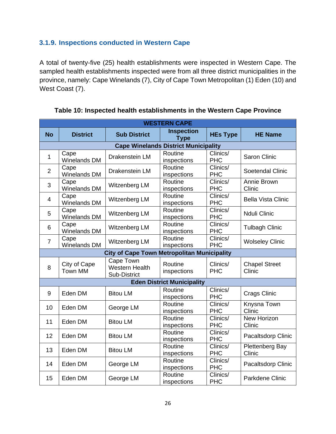# **3.1.9. Inspections conducted in Western Cape**

<span id="page-28-0"></span>A total of twenty-five (25) health establishments were inspected in Western Cape. The sampled health establishments inspected were from all three district municipalities in the province, namely: Cape Winelands (7), City of Cape Town Metropolitan (1) Eden (10) and West Coast (7).

|                 | <b>WESTERN CAPE</b>            |                                                    |                                             |                        |                                |  |  |
|-----------------|--------------------------------|----------------------------------------------------|---------------------------------------------|------------------------|--------------------------------|--|--|
| <b>No</b>       | <b>District</b>                | <b>Sub District</b>                                | <b>Inspection</b><br><b>Type</b>            | <b>HEs Type</b>        | <b>HE Name</b>                 |  |  |
|                 |                                |                                                    | <b>Cape Winelands District Municipality</b> |                        |                                |  |  |
| $\mathbf{1}$    | Cape<br>Winelands DM           | Drakenstein LM                                     | Routine<br>inspections                      | Clinics/<br><b>PHC</b> | Saron Clinic                   |  |  |
| $\overline{2}$  | Cape<br>Winelands DM           | Drakenstein LM                                     | Routine<br>inspections                      | Clinics/<br><b>PHC</b> | Soetendal Clinic               |  |  |
| 3               | Cape<br>Winelands DM           | Witzenberg LM                                      | Routine<br>inspections                      | Clinics/<br><b>PHC</b> | Annie Brown<br>Clinic          |  |  |
| $\overline{4}$  | Cape<br><b>Winelands DM</b>    | Witzenberg LM                                      | Routine<br>inspections                      | Clinics/<br><b>PHC</b> | <b>Bella Vista Clinic</b>      |  |  |
| 5               | Cape<br><b>Winelands DM</b>    | Witzenberg LM                                      | Routine<br>inspections                      | Clinics/<br><b>PHC</b> | Nduli Clinic                   |  |  |
| 6               | Cape<br>Winelands DM           | Witzenberg LM                                      | Routine<br>inspections                      | Clinics/<br><b>PHC</b> | <b>Tulbagh Clinic</b>          |  |  |
| $\overline{7}$  | Cape<br>Winelands DM           | Witzenberg LM                                      | Routine<br>inspections                      | Clinics/<br><b>PHC</b> | <b>Wolseley Clinic</b>         |  |  |
|                 |                                | <b>City of Cape Town Metropolitan Municipality</b> |                                             |                        |                                |  |  |
| 8               | City of Cape<br><b>Town MM</b> | Cape Town<br><b>Western Health</b><br>Sub-District | Routine<br>inspections                      | Clinics/<br><b>PHC</b> | <b>Chapel Street</b><br>Clinic |  |  |
|                 |                                |                                                    | <b>Eden District Municipality</b>           |                        |                                |  |  |
| 9               | Eden DM                        | <b>Bitou LM</b>                                    | Routine<br>inspections                      | Clinics/<br><b>PHC</b> | Crags Clinic                   |  |  |
| 10 <sup>1</sup> | Eden DM                        | George LM                                          | Routine<br>inspections                      | Clinics/<br><b>PHC</b> | Knysna Town<br>Clinic          |  |  |
| 11              | Eden DM                        | <b>Bitou LM</b>                                    | Routine<br>inspections                      | Clinics/<br><b>PHC</b> | <b>New Horizon</b><br>Clinic   |  |  |
| 12 <sup>2</sup> | Eden DM                        | <b>Bitou LM</b>                                    | Routine<br>inspections                      | Clinics/<br><b>PHC</b> | Pacaltsdorp Clinic             |  |  |
| 13              | Eden DM                        | <b>Bitou LM</b>                                    | Routine<br>inspections                      | Clinics/<br><b>PHC</b> | Plettenberg Bay<br>Clinic      |  |  |
| 14              | Eden DM                        | George LM                                          | Routine<br>inspections                      | Clinics/<br><b>PHC</b> | Pacaltsdorp Clinic             |  |  |
| 15              | Eden DM                        | George LM                                          | Routine<br>inspections                      | Clinics/<br><b>PHC</b> | Parkdene Clinic                |  |  |

#### **Table 10: Inspected health establishments in the Western Cape Province**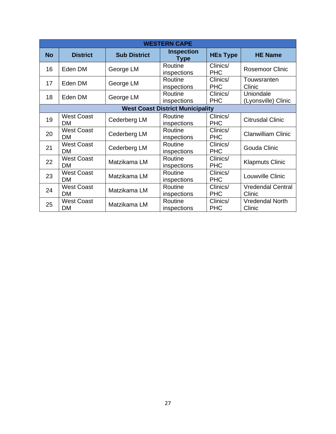| <b>WESTERN CAPE</b>                     |                                |                     |                                  |                        |                                    |  |
|-----------------------------------------|--------------------------------|---------------------|----------------------------------|------------------------|------------------------------------|--|
| <b>No</b>                               | <b>District</b>                | <b>Sub District</b> | <b>Inspection</b><br><b>Type</b> | <b>HEs Type</b>        | <b>HE Name</b>                     |  |
| 16                                      | Eden DM                        | George LM           | Routine<br>inspections           | Clinics/<br><b>PHC</b> | <b>Rosemoor Clinic</b>             |  |
| 17                                      | Eden DM                        | George LM           | Routine<br>inspections           | Clinics/<br><b>PHC</b> | Touwsranten<br>Clinic              |  |
| 18                                      | Eden DM                        | George LM           | Routine<br>inspections           | Clinics/<br><b>PHC</b> | Uniondale<br>(Lyonsville) Clinic   |  |
| <b>West Coast District Municipality</b> |                                |                     |                                  |                        |                                    |  |
| 19                                      | <b>West Coast</b><br>DM.       | Cederberg LM        | Routine<br>inspections           | Clinics/<br><b>PHC</b> | <b>Citrusdal Clinic</b>            |  |
| 20                                      | <b>West Coast</b><br>DM.       | Cederberg LM        | Routine<br>inspections           | Clinics/<br><b>PHC</b> | <b>Clanwilliam Clinic</b>          |  |
| 21                                      | <b>West Coast</b><br><b>DM</b> | Cederberg LM        | Routine<br>inspections           | Clinics/<br><b>PHC</b> | Gouda Clinic                       |  |
| 22                                      | <b>West Coast</b><br>DM.       | Matzikama LM        | Routine<br>inspections           | Clinics/<br><b>PHC</b> | <b>Klapmuts Clinic</b>             |  |
| 23                                      | <b>West Coast</b><br><b>DM</b> | Matzikama LM        | Routine<br>inspections           | Clinics/<br><b>PHC</b> | Louwville Clinic                   |  |
| 24                                      | <b>West Coast</b><br><b>DM</b> | Matzikama LM        | Routine<br>inspections           | Clinics/<br><b>PHC</b> | <b>Vredendal Central</b><br>Clinic |  |
| 25                                      | <b>West Coast</b><br>DM        | Matzikama LM        | Routine<br>inspections           | Clinics/<br><b>PHC</b> | <b>Vredendal North</b><br>Clinic   |  |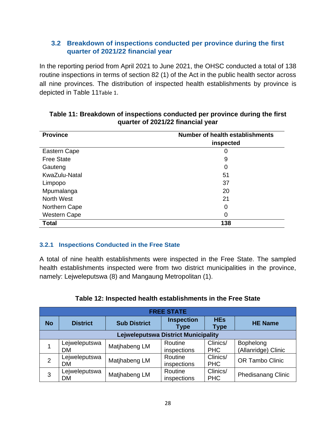## **3.2 Breakdown of inspections conducted per province during the first quarter of 2021/22 financial year**

<span id="page-30-0"></span>In the reporting period from April 2021 to June 2021, the OHSC conducted a total of 138 routine inspections in terms of section 82 (1) of the Act in the public health sector across all nine provinces. The distribution of inspected health establishments by province is depicted in [Table 11](#page-30-2)[Table 1](#page-7-3).

| <b>Province</b>     | <b>Number of health establishments</b> |
|---------------------|----------------------------------------|
|                     | inspected                              |
| Eastern Cape        | 0                                      |
| <b>Free State</b>   | 9                                      |
| Gauteng             | 0                                      |
| KwaZulu-Natal       | 51                                     |
| Limpopo             | 37                                     |
| Mpumalanga          | 20                                     |
| <b>North West</b>   | 21                                     |
| Northern Cape       | 0                                      |
| <b>Western Cape</b> | 0                                      |
| <b>Total</b>        | 138                                    |

#### <span id="page-30-2"></span>**Table 11: Breakdown of inspections conducted per province during the first quarter of 2021/22 financial year**

#### **3.2.1 Inspections Conducted in the Free State**

<span id="page-30-1"></span>A total of nine health establishments were inspected in the Free State. The sampled health establishments inspected were from two district municipalities in the province, namely: Lejweleputswa (8) and Mangaung Metropolitan (1).

| <b>FREE STATE</b>                          |                     |                     |                           |                           |                                  |  |
|--------------------------------------------|---------------------|---------------------|---------------------------|---------------------------|----------------------------------|--|
| <b>No</b>                                  | <b>District</b>     | <b>Sub District</b> | <b>Inspection</b><br>Type | <b>HEs</b><br><b>Type</b> | <b>HE Name</b>                   |  |
| <b>Lejweleputswa District Municipality</b> |                     |                     |                           |                           |                                  |  |
|                                            | Lejweleputswa<br>DM | Matjhabeng LM       | Routine<br>inspections    | Clinics/<br><b>PHC</b>    | Bophelong<br>(Allanridge) Clinic |  |
| $\overline{2}$                             | Lejweleputswa<br>DM | Matjhabeng LM       | Routine<br>inspections    | Clinics/<br><b>PHC</b>    | <b>OR Tambo Clinic</b>           |  |
| 3                                          | Lejweleputswa<br>DM | Matjhabeng LM       | Routine<br>inspections    | Clinics/<br><b>PHC</b>    | <b>Phedisanang Clinic</b>        |  |

#### **Table 12: Inspected health establishments in the Free State**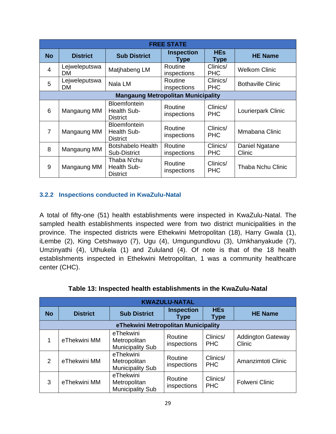| <b>FREE STATE</b>                         |                      |                                                              |                           |                           |                          |  |
|-------------------------------------------|----------------------|--------------------------------------------------------------|---------------------------|---------------------------|--------------------------|--|
| <b>No</b>                                 | <b>District</b>      | <b>Sub District</b>                                          | <b>Inspection</b><br>Type | <b>HEs</b><br><b>Type</b> | <b>HE Name</b>           |  |
| $\overline{4}$                            | Lejweleputswa<br>DM. | Matjhabeng LM                                                | Routine<br>inspections    | Clinics/<br><b>PHC</b>    | <b>Welkom Clinic</b>     |  |
| 5                                         | Lejweleputswa<br>DM. | Nala LM                                                      | Routine<br>inspections    | Clinics/<br><b>PHC</b>    | <b>Bothaville Clinic</b> |  |
| <b>Mangaung Metropolitan Municipality</b> |                      |                                                              |                           |                           |                          |  |
| 6                                         | Mangaung MM          | <b>Bloemfontein</b><br><b>Health Sub-</b><br><b>District</b> | Routine<br>inspections    | Clinics/<br><b>PHC</b>    | Lourierpark Clinic       |  |
| $\overline{7}$                            | Mangaung MM          | <b>Bloemfontein</b><br><b>Health Sub-</b><br><b>District</b> | Routine<br>inspections    | Clinics/<br><b>PHC</b>    | Mmabana Clinic           |  |
| 8                                         | Mangaung MM          | <b>Botshabelo Health</b><br>Sub-District                     | Routine<br>inspections    | Clinics/<br><b>PHC</b>    | Daniel Ngatane<br>Clinic |  |
| 9                                         | Mangaung MM          | Thaba N'chu<br>Health Sub-<br><b>District</b>                | Routine<br>inspections    | Clinics/<br><b>PHC</b>    | Thaba Nchu Clinic        |  |

#### **3.2.2 Inspections conducted in KwaZulu-Natal**

<span id="page-31-0"></span>A total of fifty-one (51) health establishments were inspected in KwaZulu-Natal. The sampled health establishments inspected were from two district municipalities in the province. The inspected districts were Ethekwini Metropolitan (18), Harry Gwala (1), iLembe (2), King Cetshwayo (7), Ugu (4), Umgungundlovu (3), Umkhanyakude (7), Umzinyathi (4), Uthukela (1) and Zululand (4). Of note is that of the 18 health establishments inspected in Ethekwini Metropolitan, 1 was a community healthcare center (CHC).

| <b>KWAZULU-NATAL</b>                |                 |                                                      |                           |                           |                                    |  |
|-------------------------------------|-----------------|------------------------------------------------------|---------------------------|---------------------------|------------------------------------|--|
| <b>No</b>                           | <b>District</b> | <b>Sub District</b>                                  | <b>Inspection</b><br>Type | <b>HEs</b><br><b>Type</b> | <b>HE Name</b>                     |  |
| eThekwini Metropolitan Municipality |                 |                                                      |                           |                           |                                    |  |
| 1                                   | eThekwini MM    | eThekwini<br>Metropolitan<br><b>Municipality Sub</b> | Routine<br>inspections    | Clinics/<br><b>PHC</b>    | <b>Addington Gateway</b><br>Clinic |  |
| 2                                   | eThekwini MM    | eThekwini<br>Metropolitan<br><b>Municipality Sub</b> | Routine<br>inspections    | Clinics/<br><b>PHC</b>    | Amanzimtoti Clinic                 |  |
| 3                                   | eThekwini MM    | eThekwini<br>Metropolitan<br><b>Municipality Sub</b> | Routine<br>inspections    | Clinics/<br><b>PHC</b>    | <b>Folweni Clinic</b>              |  |

| Table 13: Inspected health establishments in the KwaZulu-Natal |  |
|----------------------------------------------------------------|--|
|----------------------------------------------------------------|--|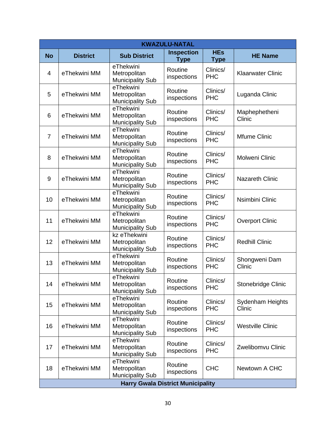| <b>KWAZULU-NATAL</b> |                                          |                                         |                        |                        |                          |  |  |
|----------------------|------------------------------------------|-----------------------------------------|------------------------|------------------------|--------------------------|--|--|
| <b>No</b>            | <b>District</b>                          | <b>Sub District</b>                     | <b>Inspection</b>      | <b>HEs</b>             | <b>HE Name</b>           |  |  |
|                      |                                          | eThekwini                               | <b>Type</b>            | <b>Type</b>            |                          |  |  |
| 4                    | eThekwini MM                             | Metropolitan                            | Routine                | Clinics/<br><b>PHC</b> | <b>Klaarwater Clinic</b> |  |  |
|                      |                                          | <b>Municipality Sub</b>                 | inspections            |                        |                          |  |  |
| 5                    | eThekwini MM                             | eThekwini<br>Metropolitan               | Routine                | Clinics/               | Luganda Clinic           |  |  |
|                      |                                          | <b>Municipality Sub</b>                 | inspections            | <b>PHC</b>             |                          |  |  |
|                      |                                          | eThekwini                               | Routine                | Clinics/               | Maphephetheni            |  |  |
| 6                    | eThekwini MM                             | Metropolitan                            | inspections            | <b>PHC</b>             | Clinic                   |  |  |
|                      |                                          | <b>Municipality Sub</b><br>eThekwini    |                        |                        |                          |  |  |
| $\overline{7}$       | eThekwini MM                             | Metropolitan                            | Routine<br>inspections | Clinics/<br><b>PHC</b> | Mfume Clinic             |  |  |
|                      |                                          | <b>Municipality Sub</b>                 |                        |                        |                          |  |  |
| 8                    | eThekwini MM                             | eThekwini<br>Metropolitan               | Routine                | Clinics/               | Molweni Clinic           |  |  |
|                      |                                          | <b>Municipality Sub</b>                 | inspections            | <b>PHC</b>             |                          |  |  |
|                      |                                          | eThekwini                               | Routine                | Clinics/               | <b>Nazareth Clinic</b>   |  |  |
| 9                    | eThekwini MM                             | Metropolitan<br><b>Municipality Sub</b> | inspections            | <b>PHC</b>             |                          |  |  |
|                      | eThekwini MM                             | eThekwini                               | Routine<br>inspections | Clinics/<br><b>PHC</b> | Nsimbini Clinic          |  |  |
| 10                   |                                          | Metropolitan                            |                        |                        |                          |  |  |
|                      |                                          | <b>Municipality Sub</b><br>eThekwini    |                        |                        |                          |  |  |
| 11                   | eThekwini MM                             | Metropolitan                            | Routine                | Clinics/               | <b>Overport Clinic</b>   |  |  |
|                      |                                          | <b>Municipality Sub</b>                 | inspections            | <b>PHC</b>             |                          |  |  |
| 12                   | eThekwini MM                             | kz eThekwini<br>Metropolitan            | Routine                | Clinics/               | <b>Redhill Clinic</b>    |  |  |
|                      |                                          | <b>Municipality Sub</b>                 | inspections            | <b>PHC</b>             |                          |  |  |
|                      |                                          | eThekwini                               | Routine                | Clinics/               | Shongweni Dam            |  |  |
| 13                   | eThekwini MM                             | Metropolitan<br><b>Municipality Sub</b> | inspections            | <b>PHC</b>             | Clinic                   |  |  |
|                      |                                          | eThekwini                               |                        |                        |                          |  |  |
| 14                   | eThekwini MM                             | Metropolitan                            | Routine<br>inspections | Clinics/<br><b>PHC</b> | Stonebridge Clinic       |  |  |
|                      |                                          | <b>Municipality Sub</b><br>eThekwini    |                        |                        |                          |  |  |
| 15                   | eThekwini MM                             | Metropolitan                            | Routine                | Clinics/               | Sydenham Heights         |  |  |
|                      |                                          | <b>Municipality Sub</b>                 | inspections            | <b>PHC</b>             | Clinic                   |  |  |
|                      |                                          | eThekwini                               | Routine                | Clinics/               |                          |  |  |
| 16                   | eThekwini MM                             | Metropolitan<br><b>Municipality Sub</b> | inspections            | <b>PHC</b>             | <b>Westville Clinic</b>  |  |  |
|                      |                                          | eThekwini                               | Routine                | Clinics/               |                          |  |  |
| 17                   | eThekwini MM                             | Metropolitan                            | inspections            | <b>PHC</b>             | Zwelibomvu Clinic        |  |  |
|                      |                                          | <b>Municipality Sub</b><br>eThekwini    |                        |                        |                          |  |  |
| 18                   | eThekwini MM                             | Metropolitan                            | Routine                | <b>CHC</b>             | Newtown A CHC            |  |  |
|                      |                                          | <b>Municipality Sub</b>                 | inspections            |                        |                          |  |  |
|                      | <b>Harry Gwala District Municipality</b> |                                         |                        |                        |                          |  |  |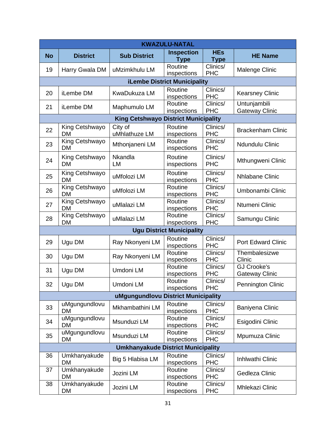| <b>KWAZULU-NATAL</b> |                             |                                             |                                     |                                             |                                             |
|----------------------|-----------------------------|---------------------------------------------|-------------------------------------|---------------------------------------------|---------------------------------------------|
| <b>No</b>            | <b>District</b>             | <b>Sub District</b>                         | <b>Inspection</b>                   | <b>HEs</b>                                  | <b>HE Name</b>                              |
|                      |                             |                                             | <b>Type</b>                         | <b>Type</b>                                 |                                             |
| 19                   | Harry Gwala DM              | uMzimkhulu LM                               | Routine<br>inspections              | Clinics/<br><b>PHC</b>                      | Malenge Clinic                              |
|                      |                             |                                             | <b>iLembe District Municipality</b> |                                             |                                             |
| 20                   | iLembe DM                   | <b>KwaDukuza LM</b>                         | Routine<br>inspections              | Clinics/<br><b>PHC</b>                      | <b>Kearsney Clinic</b>                      |
| 21                   | iLembe DM                   | Maphumulo LM                                | Routine<br>inspections              | Clinics/<br><b>PHC</b>                      | Untunjambili<br><b>Gateway Clinic</b>       |
|                      |                             | <b>King Cetshwayo District Municipality</b> |                                     |                                             |                                             |
| 22                   | King Cetshwayo<br><b>DM</b> | City of<br>uMhlathuze LM                    | Routine<br>inspections              | Clinics/<br><b>PHC</b>                      | <b>Brackenham Clinic</b>                    |
| 23                   | King Cetshwayo<br><b>DM</b> | Mthonjaneni LM                              | Routine<br>inspections              | Clinics/<br><b>PHC</b>                      | Ndundulu Clinic                             |
| 24                   | King Cetshwayo<br>DM        | Nkandla<br>LM                               | Routine<br>inspections              | Clinics/<br><b>PHC</b>                      | Mthungweni Clinic                           |
| 25                   | King Cetshwayo<br><b>DM</b> | uMfolozi LM                                 | Routine<br>inspections              | Clinics/<br><b>PHC</b>                      | <b>Nhlabane Clinic</b>                      |
| 26                   | King Cetshwayo<br><b>DM</b> | uMfolozi LM                                 | Routine<br>inspections              | Clinics/<br><b>PHC</b>                      | Umbonambi Clinic                            |
| 27                   | King Cetshwayo<br><b>DM</b> | uMlalazi LM                                 | Routine<br>inspections              | Clinics/<br><b>PHC</b>                      | Ntumeni Clinic                              |
| 28                   | King Cetshwayo<br>DM        | uMlalazi LM                                 | Routine<br>inspections              | $\overline{\text{Clinics}}$ /<br><b>PHC</b> | Samungu Clinic                              |
|                      |                             |                                             | <b>Ugu District Municipality</b>    |                                             |                                             |
| 29                   | Ugu DM                      | Ray Nkonyeni LM                             | Routine<br>inspections              | Clinics/<br><b>PHC</b>                      | <b>Port Edward Clinic</b>                   |
| 30                   | Ugu DM                      | Ray Nkonyeni LM                             | Routine<br>inspections              | Clinics/<br><b>PHC</b>                      | Thembalesizwe<br>Clinic                     |
| 31                   | Ugu DM                      | Umdoni LM                                   | Routine<br>inspections              | Clinics/<br><b>PHC</b>                      | <b>GJ Crooke's</b><br><b>Gateway Clinic</b> |
| 32                   | Ugu DM                      | Umdoni LM                                   | Routine<br>inspections              | Clinics/<br><b>PHC</b>                      | Pennington Clinic                           |
|                      |                             | uMgungundlovu District Municipality         |                                     |                                             |                                             |
| 33                   | uMgungundlovu<br><b>DM</b>  | Mkhambathini LM                             | Routine<br>inspections              | Clinics/<br><b>PHC</b>                      | Baniyena Clinic                             |
| 34                   | uMgungundlovu<br>DM         | Msunduzi LM                                 | Routine<br>inspections              | Clinics/<br><b>PHC</b>                      | Esigodini Clinic                            |
| 35                   | uMgungundlovu<br>DM         | Msunduzi LM                                 | Routine<br>inspections              | Clinics/<br><b>PHC</b>                      | Mpumuza Clinic                              |
|                      |                             | <b>Umkhanyakude District Municipality</b>   |                                     |                                             |                                             |
| 36                   | Umkhanyakude<br>DM          | Big 5 Hlabisa LM                            | Routine<br>inspections              | Clinics/<br><b>PHC</b>                      | Inhlwathi Clinic                            |
| 37                   | Umkhanyakude<br>DM          | Jozini LM                                   | Routine<br>inspections              | Clinics/<br><b>PHC</b>                      | Gedleza Clinic                              |
| 38                   | Umkhanyakude<br>DM          | Jozini LM                                   | Routine<br>inspections              | Clinics/<br><b>PHC</b>                      | Mhlekazi Clinic                             |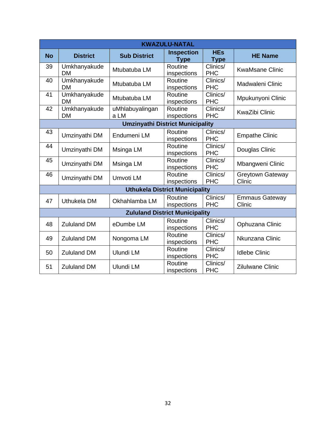|           | <b>KWAZULU-NATAL</b>      |                                         |                                       |                           |                                   |  |  |  |
|-----------|---------------------------|-----------------------------------------|---------------------------------------|---------------------------|-----------------------------------|--|--|--|
| <b>No</b> | <b>District</b>           | <b>Sub District</b>                     | <b>Inspection</b><br><b>Type</b>      | <b>HEs</b><br><b>Type</b> | <b>HE Name</b>                    |  |  |  |
| 39        | Umkhanyakude<br><b>DM</b> | Mtubatuba LM                            | Routine<br>inspections                | Clinics/<br><b>PHC</b>    | <b>KwaMsane Clinic</b>            |  |  |  |
| 40        | Umkhanyakude<br><b>DM</b> | Mtubatuba LM                            | Routine<br>inspections                | Clinics/<br><b>PHC</b>    | Madwaleni Clinic                  |  |  |  |
| 41        | Umkhanyakude<br><b>DM</b> | Mtubatuba LM                            | Routine<br>inspections                | Clinics/<br><b>PHC</b>    | Mpukunyoni Clinic                 |  |  |  |
| 42        | Umkhanyakude<br><b>DM</b> | uMhlabuyalingan<br>a LM                 | Routine<br>inspections                | Clinics/<br><b>PHC</b>    | <b>KwaZibi Clinic</b>             |  |  |  |
|           |                           | <b>Umzinyathi District Municipality</b> |                                       |                           |                                   |  |  |  |
| 43        | Umzinyathi DM             | Endumeni LM                             | Routine<br>inspections                | Clinics/<br><b>PHC</b>    | <b>Empathe Clinic</b>             |  |  |  |
| 44        | Umzinyathi DM             | Msinga LM                               | Routine<br>inspections                | Clinics/<br><b>PHC</b>    | Douglas Clinic                    |  |  |  |
| 45        | Umzinyathi DM             | Msinga LM                               | Routine<br>inspections                | Clinics/<br><b>PHC</b>    | Mbangweni Clinic                  |  |  |  |
| 46        | Umzinyathi DM             | Umvoti LM                               | Routine<br>inspections                | Clinics/<br><b>PHC</b>    | <b>Greytown Gateway</b><br>Clinic |  |  |  |
|           |                           |                                         | <b>Uthukela District Municipality</b> |                           |                                   |  |  |  |
| 47        | Uthukela DM               | Okhahlamba LM                           | Routine<br>inspections                | Clinics/<br><b>PHC</b>    | <b>Emmaus Gateway</b><br>Clinic   |  |  |  |
|           |                           |                                         | <b>Zululand District Municipality</b> |                           |                                   |  |  |  |
| 48        | <b>Zululand DM</b>        | eDumbe LM                               | Routine<br>inspections                | Clinics/<br><b>PHC</b>    | Ophuzana Clinic                   |  |  |  |
| 49        | <b>Zululand DM</b>        | Nongoma LM                              | Routine<br>inspections                | Clinics/<br><b>PHC</b>    | Nkunzana Clinic                   |  |  |  |
| 50        | <b>Zululand DM</b>        | Ulundi LM                               | Routine<br>inspections                | Clinics/<br><b>PHC</b>    | <b>Idlebe Clinic</b>              |  |  |  |
| 51        | <b>Zululand DM</b>        | Ulundi LM                               | Routine<br>inspections                | Clinics/<br><b>PHC</b>    | <b>Zilulwane Clinic</b>           |  |  |  |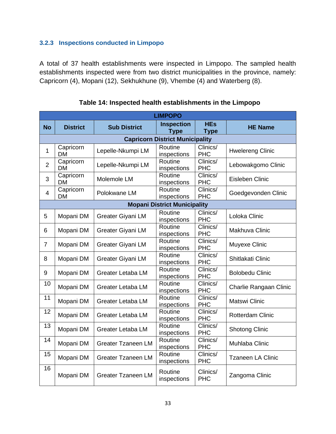### **3.2.3 Inspections conducted in Limpopo**

<span id="page-35-0"></span>A total of 37 health establishments were inspected in Limpopo. The sampled health establishments inspected were from two district municipalities in the province, namely: Capricorn (4), Mopani (12), Sekhukhune (9), Vhembe (4) and Waterberg (8).

|                | <b>LIMPOPO</b>                         |                           |                                     |                                             |                          |  |  |  |  |  |
|----------------|----------------------------------------|---------------------------|-------------------------------------|---------------------------------------------|--------------------------|--|--|--|--|--|
| <b>No</b>      | <b>District</b>                        | <b>Sub District</b>       | <b>Inspection</b><br><b>Type</b>    | <b>HEs</b><br><b>Type</b>                   | <b>HE Name</b>           |  |  |  |  |  |
|                | <b>Capricorn District Municipality</b> |                           |                                     |                                             |                          |  |  |  |  |  |
| $\mathbf{1}$   | Capricorn<br><b>DM</b>                 | Lepelle-Nkumpi LM         | Routine<br>inspections              | Clinics/<br><b>PHC</b>                      | <b>Hwelereng Clinic</b>  |  |  |  |  |  |
| $\overline{2}$ | Capricorn<br><b>DM</b>                 | Lepelle-Nkumpi LM         | Routine<br>inspections              | Clinics/<br><b>PHC</b>                      | Lebowakgomo Clinic       |  |  |  |  |  |
| 3              | Capricorn<br><b>DM</b>                 | Molemole LM               | Routine<br>inspections              | $\overline{\text{Clin}}$ ics/<br><b>PHC</b> | Eisleben Clinic          |  |  |  |  |  |
| $\overline{4}$ | Capricorn<br><b>DM</b>                 | Polokwane LM              | Routine<br>inspections              | Clinics/<br><b>PHC</b>                      | Goedgevonden Clinic      |  |  |  |  |  |
|                |                                        |                           | <b>Mopani District Municipality</b> |                                             |                          |  |  |  |  |  |
| 5              | Mopani DM                              | Greater Giyani LM         | Routine<br>inspections              | Clinics/<br><b>PHC</b>                      | Loloka Clinic            |  |  |  |  |  |
| 6              | Mopani DM                              | Greater Giyani LM         | Routine<br>inspections              | $\overline{\text{Clin}}$ ics/<br><b>PHC</b> | Makhuva Clinic           |  |  |  |  |  |
| $\overline{7}$ | Mopani DM                              | Greater Giyani LM         | Routine<br>inspections              | Clinics/<br><b>PHC</b>                      | Muyexe Clinic            |  |  |  |  |  |
| 8              | Mopani DM                              | Greater Giyani LM         | Routine<br>inspections              | Clinics/<br><b>PHC</b>                      | Shitlakati Clinic        |  |  |  |  |  |
| 9              | Mopani DM                              | <b>Greater Letaba LM</b>  | Routine<br>inspections              | Clinics/<br><b>PHC</b>                      | <b>Bolobedu Clinic</b>   |  |  |  |  |  |
| 10             | Mopani DM                              | <b>Greater Letaba LM</b>  | Routine<br>inspections              | Clinics/<br><b>PHC</b>                      | Charlie Rangaan Clinic   |  |  |  |  |  |
| 11             | Mopani DM                              | <b>Greater Letaba LM</b>  | Routine<br>inspections              | Clinics/<br><b>PHC</b>                      | <b>Matswi Clinic</b>     |  |  |  |  |  |
| 12             | Mopani DM                              | <b>Greater Letaba LM</b>  | Routine<br>inspections              | Clinics/<br><b>PHC</b>                      | <b>Rotterdam Clinic</b>  |  |  |  |  |  |
| 13             | Mopani DM                              | <b>Greater Letaba LM</b>  | Routine<br>inspections              | Clinics/<br><b>PHC</b>                      | <b>Shotong Clinic</b>    |  |  |  |  |  |
| 14             | Mopani DM                              | <b>Greater Tzaneen LM</b> | Routine<br>inspections              | Clinics/<br><b>PHC</b>                      | Muhlaba Clinic           |  |  |  |  |  |
| 15             | Mopani DM                              | <b>Greater Tzaneen LM</b> | Routine<br>inspections              | $\overline{\text{Clinics}}$<br><b>PHC</b>   | <b>Tzaneen LA Clinic</b> |  |  |  |  |  |
| 16             | Mopani DM                              | <b>Greater Tzaneen LM</b> | Routine<br>inspections              | Clinics/<br><b>PHC</b>                      | Zangoma Clinic           |  |  |  |  |  |

## **Table 14: Inspected health establishments in the Limpopo**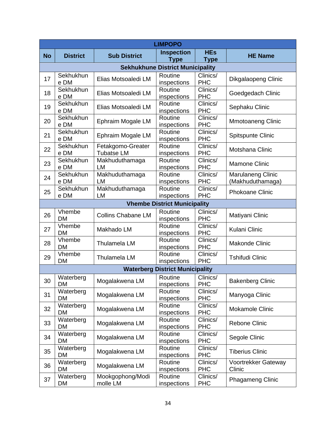|           | <b>LIMPOPO</b>                          |                                        |                                        |                           |                                              |  |  |  |  |
|-----------|-----------------------------------------|----------------------------------------|----------------------------------------|---------------------------|----------------------------------------------|--|--|--|--|
| <b>No</b> | <b>District</b>                         | <b>Sub District</b>                    | <b>Inspection</b><br><b>Type</b>       | <b>HEs</b><br><b>Type</b> | <b>HE Name</b>                               |  |  |  |  |
|           | <b>Sekhukhune District Municipality</b> |                                        |                                        |                           |                                              |  |  |  |  |
| 17        | Sekhukhun<br>e DM                       | Elias Motsoaledi LM                    | Routine<br>inspections                 | Clinics/<br><b>PHC</b>    | Dikgalaopeng Clinic                          |  |  |  |  |
| 18        | Sekhukhun<br>e DM                       | Elias Motsoaledi LM                    | Routine<br>inspections                 | Clinics/<br><b>PHC</b>    | Goedgedach Clinic                            |  |  |  |  |
| 19        | Sekhukhun<br>e DM                       | Elias Motsoaledi LM                    | Routine<br>inspections                 | Clinics/<br><b>PHC</b>    | Sephaku Clinic                               |  |  |  |  |
| 20        | Sekhukhun<br>e DM                       | Ephraim Mogale LM                      | Routine<br>inspections                 | Clinics/<br><b>PHC</b>    | <b>Mmotoaneng Clinic</b>                     |  |  |  |  |
| 21        | Sekhukhun<br>e DM                       | Ephraim Mogale LM                      | Routine<br>inspections                 | Clinics/<br><b>PHC</b>    | Spitspunte Clinic                            |  |  |  |  |
| 22        | Sekhukhun<br>e DM                       | Fetakgomo-Greater<br><b>Tubatse LM</b> | Routine<br>inspections                 | Clinics/<br><b>PHC</b>    | Motshana Clinic                              |  |  |  |  |
| 23        | Sekhukhun<br>e DM                       | Makhuduthamaga<br>LM                   | Routine<br>inspections                 | Clinics/<br><b>PHC</b>    | <b>Mamone Clinic</b>                         |  |  |  |  |
| 24        | Sekhukhun<br>e DM                       | Makhuduthamaga<br>LM                   | Routine<br>inspections                 | Clinics/<br><b>PHC</b>    | <b>Marulaneng Clinic</b><br>(Makhuduthamaga) |  |  |  |  |
| 25        | Sekhukhun<br>e DM                       | Makhuduthamaga<br><b>LM</b>            | Routine<br>inspections                 | Clinics/<br><b>PHC</b>    | <b>Phokoane Clinic</b>                       |  |  |  |  |
|           |                                         |                                        | <b>Vhembe District Municipality</b>    |                           |                                              |  |  |  |  |
| 26        | Vhembe<br><b>DM</b>                     | <b>Collins Chabane LM</b>              | Routine<br>inspections                 | Clinics/<br><b>PHC</b>    | Matiyani Clinic                              |  |  |  |  |
| 27        | Vhembe<br><b>DM</b>                     | Makhado LM                             | Routine<br>inspections                 | Clinics/<br><b>PHC</b>    | Kulani Clinic                                |  |  |  |  |
| 28        | Vhembe<br><b>DM</b>                     | <b>Thulamela LM</b>                    | Routine<br>inspections                 | Clinics/<br><b>PHC</b>    | <b>Makonde Clinic</b>                        |  |  |  |  |
| 29        | Vhembe<br><b>DM</b>                     | Thulamela LM                           | Routine<br>inspections                 | Clinics/<br><b>PHC</b>    | <b>Tshifudi Clinic</b>                       |  |  |  |  |
|           |                                         |                                        | <b>Waterberg District Municipality</b> |                           |                                              |  |  |  |  |
| 30        | Waterberg<br>DM                         | Mogalakwena LM                         | Routine<br>inspections                 | Clinics/<br><b>PHC</b>    | <b>Bakenberg Clinic</b>                      |  |  |  |  |
| 31        | Waterberg<br>DM                         | Mogalakwena LM                         | Routine<br>inspections                 | Clinics/<br><b>PHC</b>    | Manyoga Clinic                               |  |  |  |  |
| 32        | Waterberg<br><b>DM</b>                  | Mogalakwena LM                         | Routine<br>inspections                 | Clinics/<br><b>PHC</b>    | Mokamole Clinic                              |  |  |  |  |
| 33        | Waterberg<br><b>DM</b>                  | Mogalakwena LM                         | Routine<br>inspections                 | Clinics/<br><b>PHC</b>    | <b>Rebone Clinic</b>                         |  |  |  |  |
| 34        | Waterberg<br>DM                         | Mogalakwena LM                         | Routine<br>inspections                 | Clinics/<br><b>PHC</b>    | Segole Clinic                                |  |  |  |  |
| 35        | Waterberg<br><b>DM</b>                  | Mogalakwena LM                         | Routine<br>inspections                 | Clinics/<br><b>PHC</b>    | <b>Tiberius Clinic</b>                       |  |  |  |  |
| 36        | Waterberg<br><b>DM</b>                  | Mogalakwena LM                         | Routine<br>inspections                 | Clinics/<br><b>PHC</b>    | Voortrekker Gateway<br>Clinic                |  |  |  |  |
| 37        | Waterberg<br>DM                         | Mookgophong/Modi<br>molle LM           | Routine<br>inspections                 | Clinics/<br><b>PHC</b>    | Phagameng Clinic                             |  |  |  |  |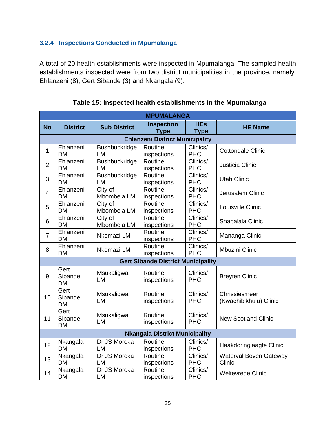## **3.2.4 Inspections Conducted in Mpumalanga**

<span id="page-37-0"></span>A total of 20 health establishments were inspected in Mpumalanga. The sampled health establishments inspected were from two district municipalities in the province, namely: Ehlanzeni (8), Gert Sibande (3) and Nkangala (9).

|                | <b>MPUMALANGA</b>                      |                                   |                                           |                           |                                         |  |  |  |  |
|----------------|----------------------------------------|-----------------------------------|-------------------------------------------|---------------------------|-----------------------------------------|--|--|--|--|
| <b>No</b>      | <b>District</b>                        | <b>Sub District</b>               | <b>Inspection</b><br><b>Type</b>          | <b>HEs</b><br><b>Type</b> | <b>HE Name</b>                          |  |  |  |  |
|                | <b>Ehlanzeni District Municipality</b> |                                   |                                           |                           |                                         |  |  |  |  |
| $\mathbf{1}$   | Ehlanzeni<br><b>DM</b>                 | <b>Bushbuckridge</b><br><b>LM</b> | Routine<br>inspections                    | Clinics/<br><b>PHC</b>    | <b>Cottondale Clinic</b>                |  |  |  |  |
| $\overline{2}$ | Ehlanzeni<br><b>DM</b>                 | <b>Bushbuckridge</b><br><b>LM</b> | Routine<br>inspections                    | Clinics/<br><b>PHC</b>    | Justicia Clinic                         |  |  |  |  |
| 3              | Ehlanzeni<br><b>DM</b>                 | <b>Bushbuckridge</b><br>LM        | Routine<br>inspections                    | Clinics/<br><b>PHC</b>    | <b>Utah Clinic</b>                      |  |  |  |  |
| $\overline{4}$ | Ehlanzeni<br><b>DM</b>                 | City of<br>Mbombela LM            | Routine<br>inspections                    | Clinics/<br><b>PHC</b>    | Jerusalem Clinic                        |  |  |  |  |
| 5              | Ehlanzeni<br><b>DM</b>                 | City of<br>Mbombela LM            | Routine<br>inspections                    | Clinics/<br><b>PHC</b>    | Louisville Clinic                       |  |  |  |  |
| 6              | Ehlanzeni<br><b>DM</b>                 | City of<br>Mbombela LM            | Routine<br>inspections                    | Clinics/<br><b>PHC</b>    | Shabalala Clinic                        |  |  |  |  |
| $\overline{7}$ | Ehlanzeni<br><b>DM</b>                 | Nkomazi LM                        | Routine<br>inspections                    | Clinics/<br><b>PHC</b>    | Mananga Clinic                          |  |  |  |  |
| 8              | Ehlanzeni<br><b>DM</b>                 | Nkomazi LM                        | Routine<br>inspections                    | Clinics/<br><b>PHC</b>    | <b>Mbuzini Clinic</b>                   |  |  |  |  |
|                |                                        |                                   | <b>Gert Sibande District Municipality</b> |                           |                                         |  |  |  |  |
| 9              | Gert<br>Sibande<br><b>DM</b>           | Msukaligwa<br><b>LM</b>           | Routine<br>inspections                    | Clinics/<br><b>PHC</b>    | <b>Breyten Clinic</b>                   |  |  |  |  |
| 10             | Gert<br>Sibande<br><b>DM</b>           | Msukaligwa<br><b>LM</b>           | Routine<br>inspections                    | Clinics/<br><b>PHC</b>    | Chrissiesmeer<br>(Kwachibikhulu) Clinic |  |  |  |  |
| 11             | Gert<br>Sibande<br><b>DM</b>           | Msukaligwa<br><b>LM</b>           | Routine<br>inspections                    | Clinics/<br><b>PHC</b>    | <b>New Scotland Clinic</b>              |  |  |  |  |
|                |                                        |                                   | <b>Nkangala District Municipality</b>     |                           |                                         |  |  |  |  |
| 12             | Nkangala<br><b>DM</b>                  | Dr JS Moroka<br><b>LM</b>         | Routine<br>inspections                    | Clinics/<br><b>PHC</b>    | Haakdoringlaagte Clinic                 |  |  |  |  |
| 13             | Nkangala<br><b>DM</b>                  | Dr JS Moroka<br><b>LM</b>         | Routine<br>inspections                    | Clinics/<br><b>PHC</b>    | Waterval Boven Gateway<br>Clinic        |  |  |  |  |
| 14             | Nkangala<br><b>DM</b>                  | Dr JS Moroka<br>LM                | Routine<br>inspections                    | Clinics/<br><b>PHC</b>    | <b>Weltevrede Clinic</b>                |  |  |  |  |

**Table 15: Inspected health establishments in the Mpumalanga**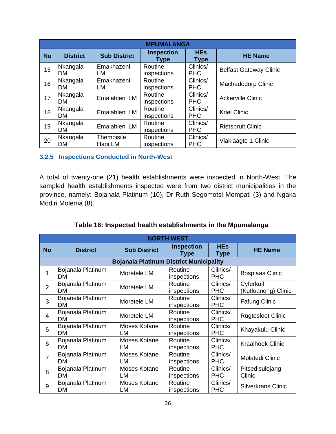|           | <b>MPUMALANGA</b>     |                       |                           |                           |                               |  |  |  |  |  |
|-----------|-----------------------|-----------------------|---------------------------|---------------------------|-------------------------------|--|--|--|--|--|
| <b>No</b> | <b>District</b>       | <b>Sub District</b>   | <b>Inspection</b><br>Type | <b>HEs</b><br><b>Type</b> | <b>HE Name</b>                |  |  |  |  |  |
| 15        | Nkangala<br>DM.       | Emakhazeni<br>LM      | Routine<br>inspections    | Clinics/<br><b>PHC</b>    | <b>Belfast Gateway Clinic</b> |  |  |  |  |  |
| 16        | Nkangala<br><b>DM</b> | Emakhazeni<br>LM      | Routine<br>inspections    | Clinics/<br><b>PHC</b>    | Machadodorp Clinic            |  |  |  |  |  |
| 17        | Nkangala<br><b>DM</b> | Emalahleni LM         | Routine<br>inspections    | Clinics/<br><b>PHC</b>    | <b>Ackerville Clinic</b>      |  |  |  |  |  |
| 18        | Nkangala<br><b>DM</b> | Emalahleni LM         | Routine<br>inspections    | Clinics/<br><b>PHC</b>    | <b>Kriel Clinic</b>           |  |  |  |  |  |
| 19        | Nkangala<br><b>DM</b> | Emalahleni LM         | Routine<br>inspections    | Clinics/<br><b>PHC</b>    | <b>Rietspruit Clinic</b>      |  |  |  |  |  |
| 20        | Nkangala<br><b>DM</b> | Thembisile<br>Hani LM | Routine<br>inspections    | Clinics/<br><b>PHC</b>    | Vlaklaagte 1 Clinic           |  |  |  |  |  |

#### **3.2.5 Inspections Conducted in North-West**

<span id="page-38-0"></span>A total of twenty-one (21) health establishments were inspected in North-West. The sampled health establishments inspected were from two district municipalities in the province, namely: Bojanala Platinum (10), Dr Ruth Segomotsi Mompati (3) and Ngaka Modiri Molema (8).

|                | <b>NORTH WEST</b>              |                                                |                           |                           |                                  |  |  |  |
|----------------|--------------------------------|------------------------------------------------|---------------------------|---------------------------|----------------------------------|--|--|--|
| <b>No</b>      | <b>District</b>                | <b>Sub District</b>                            | <b>Inspection</b><br>Type | <b>HEs</b><br><b>Type</b> | <b>HE Name</b>                   |  |  |  |
|                |                                | <b>Bojanala Platinum District Municipality</b> |                           |                           |                                  |  |  |  |
|                | Bojanala Platinum<br><b>DM</b> | Moretele LM                                    | Routine<br>inspections    | Clinics/<br><b>PHC</b>    | <b>Bosplaas Clinic</b>           |  |  |  |
| $\overline{2}$ | Bojanala Platinum<br><b>DM</b> | Moretele LM                                    | Routine<br>inspections    | Clinics/<br><b>PHC</b>    | Cyferkuil<br>(Kutloanong) Clinic |  |  |  |
| 3              | Bojanala Platinum<br>DM.       | Moretele LM                                    | Routine<br>inspections    | Clinics/<br><b>PHC</b>    | <b>Fafung Clinic</b>             |  |  |  |
| 4              | Bojanala Platinum<br><b>DM</b> | Moretele LM                                    | Routine<br>inspections    | Clinics/<br><b>PHC</b>    | <b>Rugtesloot Clinic</b>         |  |  |  |
| 5              | Bojanala Platinum<br><b>DM</b> | Moses Kotane<br>LM                             | Routine<br>inspections    | Clinics/<br><b>PHC</b>    | Khayakulu Clinic                 |  |  |  |
| 6              | Bojanala Platinum<br><b>DM</b> | Moses Kotane<br>LM                             | Routine<br>inspections    | Clinics/<br><b>PHC</b>    | <b>Kraalhoek Clinic</b>          |  |  |  |
| 7              | Bojanala Platinum<br><b>DM</b> | Moses Kotane<br>LM.                            | Routine<br>inspections    | Clinics/<br><b>PHC</b>    | <b>Molatedi Clinic</b>           |  |  |  |
| 8              | Bojanala Platinum<br><b>DM</b> | Moses Kotane<br>LM                             | Routine<br>inspections    | Clinics/<br><b>PHC</b>    | Pitsedisulejang<br>Clinic        |  |  |  |
| 9              | Bojanala Platinum<br><b>DM</b> | Moses Kotane<br>LM                             | Routine<br>inspections    | Clinics/<br><b>PHC</b>    | Silverkrans Clinic               |  |  |  |

**Table 16: Inspected health establishments in the Mpumalanga**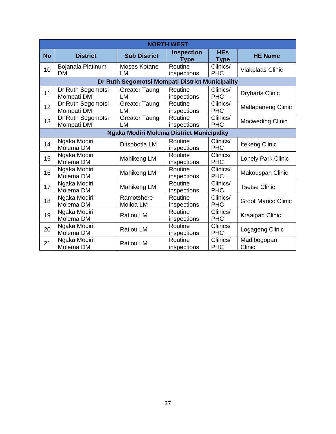|           | <b>NORTH WEST</b>               |                                                  |                                  |                           |                            |  |  |  |
|-----------|---------------------------------|--------------------------------------------------|----------------------------------|---------------------------|----------------------------|--|--|--|
| <b>No</b> | <b>District</b>                 | <b>Sub District</b>                              | <b>Inspection</b><br><b>Type</b> | <b>HEs</b><br><b>Type</b> | <b>HE Name</b>             |  |  |  |
| 10        | Bojanala Platinum<br><b>DM</b>  | Moses Kotane<br>LM                               | Routine<br>inspections           | Clinics/<br><b>PHC</b>    | <b>Vlakplaas Clinic</b>    |  |  |  |
|           |                                 | Dr Ruth Segomotsi Mompati District Municipality  |                                  |                           |                            |  |  |  |
| 11        | Dr Ruth Segomotsi<br>Mompati DM | <b>Greater Taung</b><br>LM                       | Routine<br>inspections           | Clinics/<br><b>PHC</b>    | <b>Dryharts Clinic</b>     |  |  |  |
| 12        | Dr Ruth Segomotsi<br>Mompati DM | <b>Greater Taung</b><br>LM                       | Routine<br>inspections           | Clinics/<br><b>PHC</b>    | <b>Matlapaneng Clinic</b>  |  |  |  |
| 13        | Dr Ruth Segomotsi<br>Mompati DM | <b>Greater Taung</b><br>LM                       | Routine<br>inspections           | Clinics/<br><b>PHC</b>    | <b>Mocweding Clinic</b>    |  |  |  |
|           |                                 | <b>Ngaka Modiri Molema District Municipality</b> |                                  |                           |                            |  |  |  |
| 14        | Ngaka Modiri<br>Molema DM       | Ditsobotla LM                                    | Routine<br>inspections           | Clinics/<br><b>PHC</b>    | <b>Itekeng Clinic</b>      |  |  |  |
| 15        | Ngaka Modiri<br>Molema DM       | Mahikeng LM                                      | Routine<br>inspections           | Clinics/<br><b>PHC</b>    | Lonely Park Clinic         |  |  |  |
| 16        | Ngaka Modiri<br>Molema DM       | Mahikeng LM                                      | Routine<br>inspections           | Clinics/<br><b>PHC</b>    | Makouspan Clinic           |  |  |  |
| 17        | Ngaka Modiri<br>Molema DM       | Mahikeng LM                                      | Routine<br>inspections           | Clinics/<br><b>PHC</b>    | <b>Tsetse Clinic</b>       |  |  |  |
| 18        | Ngaka Modiri<br>Molema DM       | Ramotshere<br>Moiloa LM                          | Routine<br>inspections           | Clinics/<br><b>PHC</b>    | <b>Groot Marico Clinic</b> |  |  |  |
| 19        | Ngaka Modiri<br>Molema DM       | <b>Ratlou LM</b>                                 | Routine<br>inspections           | Clinics/<br><b>PHC</b>    | Kraaipan Clinic            |  |  |  |
| 20        | Ngaka Modiri<br>Molema DM       | <b>Ratlou LM</b>                                 | Routine<br>inspections           | Clinics/<br><b>PHC</b>    | Logageng Clinic            |  |  |  |
| 21        | Ngaka Modiri<br>Molema DM       | <b>Ratlou LM</b>                                 | Routine<br>inspections           | Clinics/<br><b>PHC</b>    | Madibogopan<br>Clinic      |  |  |  |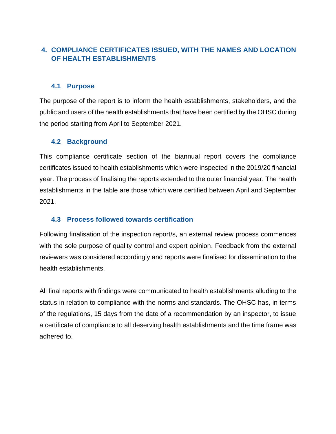# **4. COMPLIANCE CERTIFICATES ISSUED, WITH THE NAMES AND LOCATION OF HEALTH ESTABLISHMENTS**

#### <span id="page-40-0"></span>**4.1 Purpose**

<span id="page-40-1"></span>The purpose of the report is to inform the health establishments, stakeholders, and the public and users of the health establishments that have been certified by the OHSC during the period starting from April to September 2021.

#### **4.2 Background**

<span id="page-40-2"></span>This compliance certificate section of the biannual report covers the compliance certificates issued to health establishments which were inspected in the 2019/20 financial year. The process of finalising the reports extended to the outer financial year. The health establishments in the table are those which were certified between April and September 2021.

## **4.3 Process followed towards certification**

<span id="page-40-3"></span>Following finalisation of the inspection report/s, an external review process commences with the sole purpose of quality control and expert opinion. Feedback from the external reviewers was considered accordingly and reports were finalised for dissemination to the health establishments.

All final reports with findings were communicated to health establishments alluding to the status in relation to compliance with the norms and standards. The OHSC has, in terms of the regulations, 15 days from the date of a recommendation by an inspector, to issue a certificate of compliance to all deserving health establishments and the time frame was adhered to.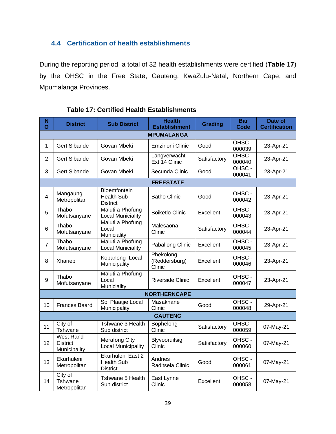# **4.4 Certification of health establishments**

<span id="page-41-0"></span>During the reporting period, a total of 32 health establishments were certified (**[Table 17](#page-41-1)**) by the OHSC in the Free State, Gauteng, KwaZulu-Natal, Northern Cape, and Mpumalanga Provinces.

<span id="page-41-1"></span>

| N<br>Ō         | <b>District</b>                                     | <b>Sub District</b>                                       | <b>Health</b><br><b>Establishment</b> | <b>Grading</b> | <b>Bar</b><br><b>Code</b> | Date of<br><b>Certification</b> |  |  |
|----------------|-----------------------------------------------------|-----------------------------------------------------------|---------------------------------------|----------------|---------------------------|---------------------------------|--|--|
|                | <b>MPUMALANGA</b>                                   |                                                           |                                       |                |                           |                                 |  |  |
| 1              | <b>Gert Sibande</b>                                 | Govan Mbeki                                               | Emzinoni Clinic                       | Good           | OHSC-<br>000039           | 23-Apr-21                       |  |  |
| $\overline{2}$ | <b>Gert Sibande</b>                                 | Govan Mbeki                                               | Langverwacht<br>Ext 14 Clinic         | Satisfactory   | OHSC-<br>000040           | 23-Apr-21                       |  |  |
| 3              | <b>Gert Sibande</b>                                 | Govan Mbeki                                               | Secunda Clinic                        | Good           | OHSC-<br>000041           | 23-Apr-21                       |  |  |
|                |                                                     |                                                           | <b>FREESTATE</b>                      |                |                           |                                 |  |  |
| 4              | Mangaung<br>Metropolitan                            | Bloemfontein<br>Health Sub-<br><b>District</b>            | <b>Batho Clinic</b>                   | Good           | OHSC-<br>000042           | 23-Apr-21                       |  |  |
| 5              | Thabo<br>Mofutsanyane                               | Maluti a Phofung<br><b>Local Municiality</b>              | <b>Boiketlo Clinic</b>                | Excellent      | OHSC-<br>000043           | 23-Apr-21                       |  |  |
| 6              | Thabo<br>Mofutsanyane                               | Maluti a Phofung<br>Local<br>Municiality                  | Malesaona<br>Clinic                   | Satisfactory   | OHSC-<br>000044           | 23-Apr-21                       |  |  |
| $\overline{7}$ | Thabo<br>Mofutsanyane                               | Maluti a Phofung<br><b>Local Municiality</b>              | Paballong Clinic                      | Excellent      | OHSC-<br>000045           | 23-Apr-21                       |  |  |
| 8              | Xhariep                                             | Kopanong Local<br>Municipality                            | Phekolong<br>(Reddersburg)<br>Clinic  | Excellent      | OHSC-<br>000046           | 23-Apr-21                       |  |  |
| 9              | Thabo<br>Mofutsanyane                               | Maluti a Phofung<br>Local<br>Municiality                  | <b>Riverside Clinic</b>               | Excellent      | OHSC-<br>000047           | 23-Apr-21                       |  |  |
|                |                                                     |                                                           | <b>NORTHERNCAPE</b>                   |                |                           |                                 |  |  |
| 10             | <b>Frances Baard</b>                                | Sol Plaatjie Local<br>Municipality                        | Masakhane<br>Clinic                   | Good           | OHSC-<br>000048           | 29-Apr-21                       |  |  |
|                |                                                     |                                                           | <b>GAUTENG</b>                        |                |                           |                                 |  |  |
| 11             | City of<br>Tshwane                                  | Tshwane 3 Health<br>Sub district                          | Bophelong<br>Clinic                   | Satisfactory   | OHSC-<br>000059           | 07-May-21                       |  |  |
| 12             | <b>West Rand</b><br><b>District</b><br>Municipality | <b>Merafong City</b><br><b>Local Municipality</b>         | Blyvooruitsig<br>Clinic               | Satisfactory   | OHSC -<br>000060          | 07-May-21                       |  |  |
| 13             | Ekurhuleni<br>Metropolitan                          | Ekurhuleni East 2<br><b>Health Sub</b><br><b>District</b> | Andries<br>Raditsela Clinic           | Good           | OHSC-<br>000061           | 07-May-21                       |  |  |
| 14             | City of<br>Tshwane<br>Metropolitan                  | Tshwane 5 Health<br>Sub district                          | East Lynne<br>Clinic                  | Excellent      | OHSC-<br>000058           | 07-May-21                       |  |  |

#### **Table 17: Certified Health Establishments**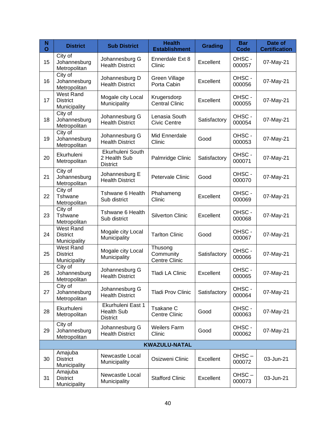| N<br>Ō | <b>District</b>                                     | <b>Sub District</b>                                       | <b>Health</b><br><b>Establishment</b> | <b>Grading</b>               | <b>Bar</b><br><b>Code</b> | Date of<br><b>Certification</b> |
|--------|-----------------------------------------------------|-----------------------------------------------------------|---------------------------------------|------------------------------|---------------------------|---------------------------------|
| 15     | City of<br>Johannesburg<br>Metropolitan             | Johannesburg G<br><b>Health District</b>                  | Ennerdale Ext 8<br>Clinic             | Excellent                    | OHSC-<br>000057           | 07-May-21                       |
| 16     | City of<br>Johannesburg<br>Metropolitan             | Johannesburg D<br><b>Health District</b>                  | Green Village<br>Porta Cabin          | Excellent                    | OHSC-<br>000056           | 07-May-21                       |
| 17     | <b>West Rand</b><br><b>District</b><br>Municipality | Mogale city Local<br>Municipality                         | Krugersdorp<br><b>Central Clinic</b>  | OHSC-<br>Excellent<br>000055 |                           | 07-May-21                       |
| 18     | City of<br>Johannesburg<br>Metropolitan             | Johannesburg G<br><b>Health District</b>                  | Lenasia South<br><b>Civic Centre</b>  | Satisfactory                 | OHSC-<br>000054           | 07-May-21                       |
| 19     | City of<br>Johannesburg<br>Metropolitan             | Johannesburg G<br><b>Health District</b>                  | Mid Ennerdale<br>Clinic               | Good                         | OHSC-<br>000053           | 07-May-21                       |
| 20     | Ekurhuleni<br>Metropolitan                          | Ekurhuleni South<br>2 Health Sub<br><b>District</b>       | Palmridge Clinic                      | Satisfactory                 | OHSC-<br>000071           | 07-May-21                       |
| 21     | City of<br>Johannesburg<br>Metropolitan             | Johannesburg E<br><b>Health District</b>                  | Petervale Clinic                      | Good                         | OHSC-<br>000070           | 07-May-21                       |
| 22     | City of<br>Tshwane<br>Metropolitan                  | Tshwane 6 Health<br>Sub district                          | Phahameng<br>Clinic                   | Excellent                    | OHSC-<br>000069           | 07-May-21                       |
| 23     | City of<br>Tshwane<br>Metropolitan                  | Tshwane 6 Health<br>Sub district                          | <b>Silverton Clinic</b>               | Excellent                    | OHSC-<br>000068           | 07-May-21                       |
| 24     | <b>West Rand</b><br><b>District</b><br>Municipality | Mogale city Local<br>Municipality                         | <b>Tarlton Clinic</b>                 | Good                         | OHSC-<br>000067           | 07-May-21                       |
| 25     | <b>West Rand</b><br><b>District</b><br>Municipality | Mogale city Local<br>Municipality                         | Thusong<br>Community<br>Centre Clinic | Satisfactory                 | OHSC-<br>000066           | 07-May-21                       |
| 26     | City of<br>Johannesburg<br>Metropolitan             | Johannesburg G<br><b>Health District</b>                  | <b>Tladi LA Clinic</b>                | Excellent                    | OHSC-<br>000065           | 07-May-21                       |
| 27     | City of<br>Johannesburg<br>Metropolitan             | Johannesburg G<br><b>Health District</b>                  | <b>Tladi Prov Clinic</b>              | Satisfactory                 | OHSC-<br>000064           | 07-May-21                       |
| 28     | Ekurhuleni<br>Metropolitan                          | Ekurhuleni East 1<br><b>Health Sub</b><br><b>District</b> | Tsakane C<br><b>Centre Clinic</b>     | Good                         | OHSC-<br>000063           | 07-May-21                       |
| 29     | City of<br>Johannesburg<br>Metropolitan             | Johannesburg G<br><b>Health District</b>                  | <b>Weilers Farm</b><br>Clinic         | Good                         | OHSC-<br>000062           | 07-May-21                       |
|        |                                                     |                                                           | <b>KWAZULU-NATAL</b>                  |                              |                           |                                 |
| 30     | Amajuba<br><b>District</b><br>Municipality          | Newcastle Local<br>Municipality                           | Osizweni Clinic                       | Excellent                    | OHSC-<br>000072           | 03-Jun-21                       |
| 31     | Amajuba<br><b>District</b><br>Municipality          | Newcastle Local<br>Municipality                           | <b>Stafford Clinic</b>                | Excellent                    | OHSC-<br>000073           | 03-Jun-21                       |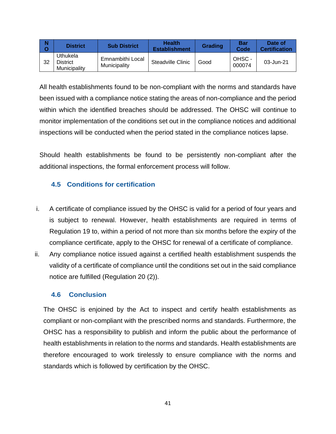| N<br>O | <b>District</b>                      | <b>Sub District</b>              | <b>Health</b><br><b>Establishment</b> | Grading | <b>Bar</b><br>Code | Date of<br><b>Certification</b> |
|--------|--------------------------------------|----------------------------------|---------------------------------------|---------|--------------------|---------------------------------|
| 32     | Uthukela<br>District<br>Municipality | Emnambithi Local<br>Municipality | <b>Steadville Clinic</b>              | Good    | OHSC-<br>000074    | 03-Jun-21                       |

All health establishments found to be non-compliant with the norms and standards have been issued with a compliance notice stating the areas of non-compliance and the period within which the identified breaches should be addressed. The OHSC will continue to monitor implementation of the conditions set out in the compliance notices and additional inspections will be conducted when the period stated in the compliance notices lapse.

Should health establishments be found to be persistently non-compliant after the additional inspections, the formal enforcement process will follow.

# **4.5 Conditions for certification**

- <span id="page-43-0"></span>i. A certificate of compliance issued by the OHSC is valid for a period of four years and is subject to renewal. However, health establishments are required in terms of Regulation 19 to, within a period of not more than six months before the expiry of the compliance certificate, apply to the OHSC for renewal of a certificate of compliance.
- ii. Any compliance notice issued against a certified health establishment suspends the validity of a certificate of compliance until the conditions set out in the said compliance notice are fulfilled (Regulation 20 (2)).

#### **4.6 Conclusion**

<span id="page-43-1"></span>The OHSC is enjoined by the Act to inspect and certify health establishments as compliant or non-compliant with the prescribed norms and standards. Furthermore, the OHSC has a responsibility to publish and inform the public about the performance of health establishments in relation to the norms and standards. Health establishments are therefore encouraged to work tirelessly to ensure compliance with the norms and standards which is followed by certification by the OHSC.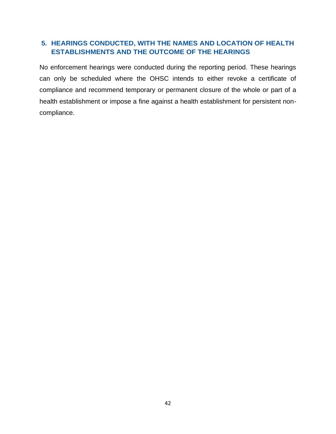# **5. HEARINGS CONDUCTED, WITH THE NAMES AND LOCATION OF HEALTH ESTABLISHMENTS AND THE OUTCOME OF THE HEARINGS**

<span id="page-44-0"></span>No enforcement hearings were conducted during the reporting period. These hearings can only be scheduled where the OHSC intends to either revoke a certificate of compliance and recommend temporary or permanent closure of the whole or part of a health establishment or impose a fine against a health establishment for persistent noncompliance.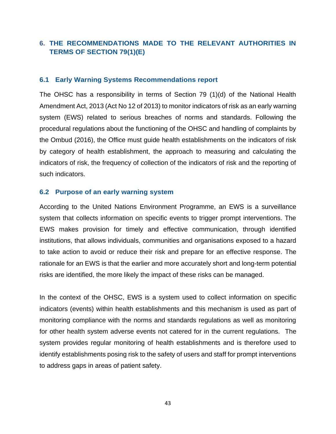# **6. THE RECOMMENDATIONS MADE TO THE RELEVANT AUTHORITIES IN TERMS OF SECTION 79(1)(E)**

#### **6.1 Early Warning Systems Recommendations report**

<span id="page-45-0"></span>The OHSC has a responsibility in terms of Section 79 (1)(d) of the National Health Amendment Act, 2013 (Act No 12 of 2013) to monitor indicators of risk as an early warning system (EWS) related to serious breaches of norms and standards. Following the procedural regulations about the functioning of the OHSC and handling of complaints by the Ombud (2016), the Office must guide health establishments on the indicators of risk by category of health establishment, the approach to measuring and calculating the indicators of risk, the frequency of collection of the indicators of risk and the reporting of such indicators.

#### **6.2 Purpose of an early warning system**

<span id="page-45-1"></span>According to the United Nations Environment Programme, an EWS is a surveillance system that collects information on specific events to trigger prompt interventions. The EWS makes provision for timely and effective communication, through identified institutions, that allows individuals, communities and organisations exposed to a hazard to take action to avoid or reduce their risk and prepare for an effective response*.* The rationale for an EWS is that the earlier and more accurately short and long-term potential risks are identified, the more likely the impact of these risks can be managed.

In the context of the OHSC, EWS is a system used to collect information on specific indicators (events) within health establishments and this mechanism is used as part of monitoring compliance with the norms and standards regulations as well as monitoring for other health system adverse events not catered for in the current regulations. The system provides regular monitoring of health establishments and is therefore used to identify establishments posing risk to the safety of users and staff for prompt interventions to address gaps in areas of patient safety.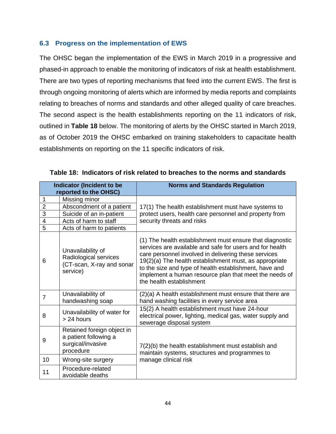#### **6.3 Progress on the implementation of EWS**

<span id="page-46-0"></span>The OHSC began the implementation of the EWS in March 2019 in a progressive and phased-in approach to enable the monitoring of indicators of risk at health establishment. There are two types of reporting mechanisms that feed into the current EWS. The first is through ongoing monitoring of alerts which are informed by media reports and complaints relating to breaches of norms and standards and other alleged quality of care breaches. The second aspect is the health establishments reporting on the 11 indicators of risk, outlined in **[Table 18](#page-46-1)** below. The monitoring of alerts by the OHSC started in March 2019, as of October 2019 the OHSC embarked on training stakeholders to capacitate health establishments on reporting on the 11 specific indicators of risk.

|                         | <b>Indicator (Incident to be</b>                                                      | <b>Norms and Standards Regulation</b>                                                                                                                                                                                                                                                                                                                                                  |
|-------------------------|---------------------------------------------------------------------------------------|----------------------------------------------------------------------------------------------------------------------------------------------------------------------------------------------------------------------------------------------------------------------------------------------------------------------------------------------------------------------------------------|
|                         | reported to the OHSC)                                                                 |                                                                                                                                                                                                                                                                                                                                                                                        |
| 1                       | Missing minor                                                                         |                                                                                                                                                                                                                                                                                                                                                                                        |
| $\overline{2}$          | Abscondment of a patient                                                              | 17(1) The health establishment must have systems to                                                                                                                                                                                                                                                                                                                                    |
| $\overline{3}$          | Suicide of an in-patient                                                              | protect users, health care personnel and property from                                                                                                                                                                                                                                                                                                                                 |
| $\overline{\mathbf{4}}$ | Acts of harm to staff                                                                 | security threats and risks                                                                                                                                                                                                                                                                                                                                                             |
| 5                       | Acts of harm to patients                                                              |                                                                                                                                                                                                                                                                                                                                                                                        |
| 6                       | Unavailability of<br>Radiological services<br>(CT-scan, X-ray and sonar<br>service)   | (1) The health establishment must ensure that diagnostic<br>services are available and safe for users and for health<br>care personnel involved in delivering these services<br>19(2)(a) The health establishment must, as appropriate<br>to the size and type of health establishment, have and<br>implement a human resource plan that meet the needs of<br>the health establishment |
| $\overline{7}$          | Unavailability of<br>handwashing soap                                                 | (2)(a) A health establishment must ensure that there are<br>hand washing facilities in every service area                                                                                                                                                                                                                                                                              |
| 8                       | Unavailability of water for<br>> 24 hours                                             | 15(2) A health establishment must have 24-hour<br>electrical power, lighting, medical gas, water supply and<br>sewerage disposal system                                                                                                                                                                                                                                                |
| 9                       | Retained foreign object in<br>a patient following a<br>surgical/invasive<br>procedure | 7(2)(b) the health establishment must establish and<br>maintain systems, structures and programmes to                                                                                                                                                                                                                                                                                  |
| 10                      | Wrong-site surgery                                                                    | manage clinical risk                                                                                                                                                                                                                                                                                                                                                                   |
| 11                      | Procedure-related<br>avoidable deaths                                                 |                                                                                                                                                                                                                                                                                                                                                                                        |

<span id="page-46-1"></span>**Table 18: Indicators of risk related to breaches to the norms and standards**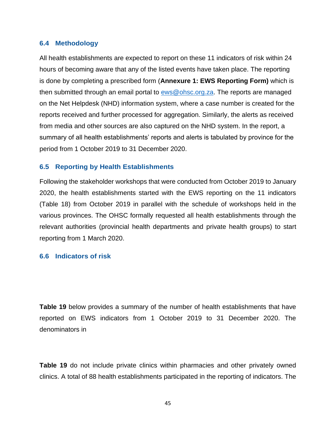#### **6.4 Methodology**

<span id="page-47-0"></span>All health establishments are expected to report on these 11 indicators of risk within 24 hours of becoming aware that any of the listed events have taken place. The reporting is done by completing a prescribed form (**Annexure 1: EWS Reporting Form)** which is then submitted through an email portal to [ews@ohsc.org.za.](mailto:ews@ohsc.org.za) The reports are managed on the Net Helpdesk (NHD) information system, where a case number is created for the reports received and further processed for aggregation. Similarly, the alerts as received from media and other sources are also captured on the NHD system. In the report, a summary of all health establishments' reports and alerts is tabulated by province for the period from 1 October 2019 to 31 December 2020.

#### **6.5 Reporting by Health Establishments**

<span id="page-47-1"></span>Following the stakeholder workshops that were conducted from October 2019 to January 2020, the health establishments started with the EWS reporting on the 11 indicators [\(Table 18\)](#page-46-1) from October 2019 in parallel with the schedule of workshops held in the various provinces. The OHSC formally requested all health establishments through the relevant authorities (provincial health departments and private health groups) to start reporting from 1 March 2020.

#### <span id="page-47-2"></span>**6.6 Indicators of risk**

**[Table](#page-48-2) 19** below provides a summary of the number of health establishments that have reported on EWS indicators from 1 October 2019 to 31 December 2020. The denominators in

**[Table](#page-48-2) 19** do not include private clinics within pharmacies and other privately owned clinics. A total of 88 health establishments participated in the reporting of indicators. The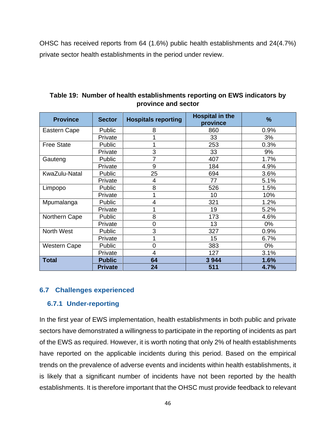<span id="page-48-2"></span>OHSC has received reports from 64 (1.6%) public health establishments and 24(4.7%) private sector health establishments in the period under review.

| <b>Province</b>     | <b>Sector</b>  | <b>Hospitals reporting</b> | <b>Hospital in the</b><br>province | %     |
|---------------------|----------------|----------------------------|------------------------------------|-------|
| Eastern Cape        | Public         | 8                          | 860                                | 0.9%  |
|                     | Private        |                            | 33                                 | 3%    |
| <b>Free State</b>   | Public         |                            | 253                                | 0.3%  |
|                     | Private        | 3                          | 33                                 | 9%    |
| Gauteng             | Public         | 7                          | 407                                | 1.7%  |
|                     | Private        | 9                          | 184                                | 4.9%  |
| KwaZulu-Natal       | Public         | 25                         | 694                                | 3.6%  |
|                     | Private        | 4                          | 77                                 | 5.1%  |
| Limpopo             | Public         | 8                          | 526                                | 1.5%  |
|                     | Private        |                            | 10                                 | 10%   |
| Mpumalanga          | Public         | 4                          | 321                                | 1.2%  |
|                     | Private        |                            | 19                                 | 5.2%  |
| Northern Cape       | Public         | 8                          | 173                                | 4.6%  |
|                     | Private        | 0                          | 13                                 | 0%    |
| North West          | Public         | 3                          | 327                                | 0.9%  |
|                     | Private        |                            | 15                                 | 6.7%  |
| <b>Western Cape</b> | Public         | $\overline{0}$             | 383                                | $0\%$ |
|                     | Private        | $\overline{4}$             | 127                                | 3.1%  |
| <b>Total</b>        | <b>Public</b>  | 64                         | 3 9 4 4                            | 1.6%  |
|                     | <b>Private</b> | 24                         | 511                                | 4.7%  |

**Table 19: Number of health establishments reporting on EWS indicators by province and sector**

#### **6.7 Challenges experienced**

#### **6.7.1 Under-reporting**

<span id="page-48-1"></span><span id="page-48-0"></span>In the first year of EWS implementation, health establishments in both public and private sectors have demonstrated a willingness to participate in the reporting of incidents as part of the EWS as required. However, it is worth noting that only 2% of health establishments have reported on the applicable incidents during this period. Based on the empirical trends on the prevalence of adverse events and incidents within health establishments, it is likely that a significant number of incidents have not been reported by the health establishments. It is therefore important that the OHSC must provide feedback to relevant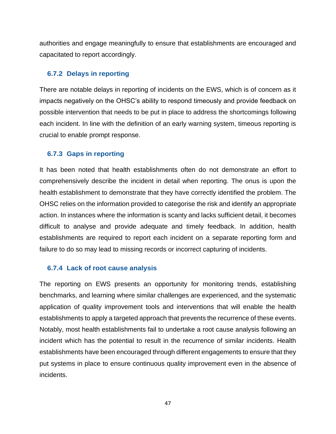authorities and engage meaningfully to ensure that establishments are encouraged and capacitated to report accordingly.

#### **6.7.2 Delays in reporting**

<span id="page-49-0"></span>There are notable delays in reporting of incidents on the EWS, which is of concern as it impacts negatively on the OHSC's ability to respond timeously and provide feedback on possible intervention that needs to be put in place to address the shortcomings following each incident. In line with the definition of an early warning system, timeous reporting is crucial to enable prompt response.

#### **6.7.3 Gaps in reporting**

<span id="page-49-1"></span>It has been noted that health establishments often do not demonstrate an effort to comprehensively describe the incident in detail when reporting. The onus is upon the health establishment to demonstrate that they have correctly identified the problem. The OHSC relies on the information provided to categorise the risk and identify an appropriate action. In instances where the information is scanty and lacks sufficient detail, it becomes difficult to analyse and provide adequate and timely feedback. In addition, health establishments are required to report each incident on a separate reporting form and failure to do so may lead to missing records or incorrect capturing of incidents.

#### **6.7.4 Lack of root cause analysis**

<span id="page-49-2"></span>The reporting on EWS presents an opportunity for monitoring trends, establishing benchmarks, and learning where similar challenges are experienced, and the systematic application of quality improvement tools and interventions that will enable the health establishments to apply a targeted approach that prevents the recurrence of these events. Notably, most health establishments fail to undertake a root cause analysis following an incident which has the potential to result in the recurrence of similar incidents. Health establishments have been encouraged through different engagements to ensure that they put systems in place to ensure continuous quality improvement even in the absence of incidents.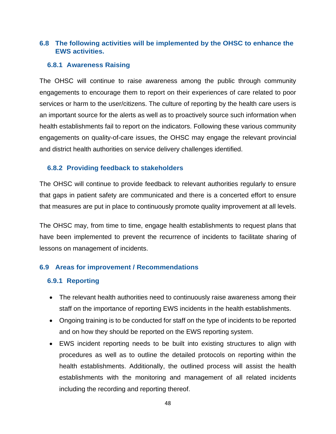### **6.8 The following activities will be implemented by the OHSC to enhance the EWS activities.**

#### <span id="page-50-0"></span>**6.8.1 Awareness Raising**

<span id="page-50-1"></span>The OHSC will continue to raise awareness among the public through community engagements to encourage them to report on their experiences of care related to poor services or harm to the user/citizens. The culture of reporting by the health care users is an important source for the alerts as well as to proactively source such information when health establishments fail to report on the indicators. Following these various community engagements on quality-of-care issues, the OHSC may engage the relevant provincial and district health authorities on service delivery challenges identified.

#### **6.8.2 Providing feedback to stakeholders**

<span id="page-50-2"></span>The OHSC will continue to provide feedback to relevant authorities regularly to ensure that gaps in patient safety are communicated and there is a concerted effort to ensure that measures are put in place to continuously promote quality improvement at all levels.

The OHSC may, from time to time, engage health establishments to request plans that have been implemented to prevent the recurrence of incidents to facilitate sharing of lessons on management of incidents.

#### **6.9 Areas for improvement / Recommendations**

#### **6.9.1 Reporting**

- <span id="page-50-4"></span><span id="page-50-3"></span>• The relevant health authorities need to continuously raise awareness among their staff on the importance of reporting EWS incidents in the health establishments.
- Ongoing training is to be conducted for staff on the type of incidents to be reported and on how they should be reported on the EWS reporting system.
- EWS incident reporting needs to be built into existing structures to align with procedures as well as to outline the detailed protocols on reporting within the health establishments. Additionally, the outlined process will assist the health establishments with the monitoring and management of all related incidents including the recording and reporting thereof.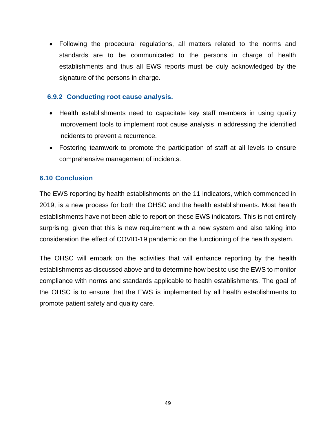• Following the procedural regulations, all matters related to the norms and standards are to be communicated to the persons in charge of health establishments and thus all EWS reports must be duly acknowledged by the signature of the persons in charge.

#### **6.9.2 Conducting root cause analysis.**

- <span id="page-51-0"></span>• Health establishments need to capacitate key staff members in using quality improvement tools to implement root cause analysis in addressing the identified incidents to prevent a recurrence.
- Fostering teamwork to promote the participation of staff at all levels to ensure comprehensive management of incidents.

#### **6.10 Conclusion**

<span id="page-51-1"></span>The EWS reporting by health establishments on the 11 indicators, which commenced in 2019, is a new process for both the OHSC and the health establishments. Most health establishments have not been able to report on these EWS indicators. This is not entirely surprising, given that this is new requirement with a new system and also taking into consideration the effect of COVID-19 pandemic on the functioning of the health system.

The OHSC will embark on the activities that will enhance reporting by the health establishments as discussed above and to determine how best to use the EWS to monitor compliance with norms and standards applicable to health establishments. The goal of the OHSC is to ensure that the EWS is implemented by all health establishments to promote patient safety and quality care.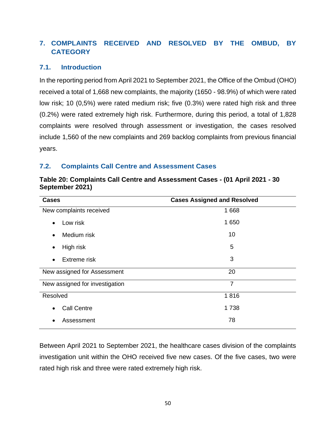# **7. COMPLAINTS RECEIVED AND RESOLVED BY THE OMBUD, BY CATEGORY**

#### <span id="page-52-0"></span>**7.1. Introduction**

<span id="page-52-1"></span>In the reporting period from April 2021 to September 2021, the Office of the Ombud (OHO) received a total of 1,668 new complaints, the majority (1650 - 98.9%) of which were rated low risk; 10 (0,5%) were rated medium risk; five (0.3%) were rated high risk and three (0.2%) were rated extremely high risk. Furthermore, during this period, a total of 1,828 complaints were resolved through assessment or investigation, the cases resolved include 1,560 of the new complaints and 269 backlog complaints from previous financial years.

#### **7.2. Complaints Call Centre and Assessment Cases**

<span id="page-52-2"></span>

| <b>Cases</b>                    | <b>Cases Assigned and Resolved</b> |
|---------------------------------|------------------------------------|
| New complaints received         | 1668                               |
| Low risk<br>$\bullet$           | 1 650                              |
| Medium risk<br>$\bullet$        | 10                                 |
| High risk<br>٠                  | 5                                  |
| Extreme risk<br>$\bullet$       | 3                                  |
| New assigned for Assessment     | 20                                 |
| New assigned for investigation  | 7                                  |
| Resolved                        | 1816                               |
| <b>Call Centre</b><br>$\bullet$ | 1738                               |
| Assessment                      | 78                                 |

**Table 20: Complaints Call Centre and Assessment Cases - (01 April 2021 - 30 September 2021)**

Between April 2021 to September 2021, the healthcare cases division of the complaints investigation unit within the OHO received five new cases. Of the five cases, two were rated high risk and three were rated extremely high risk.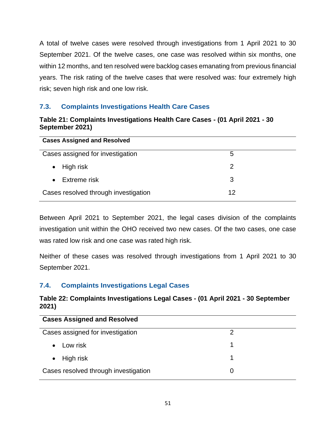A total of twelve cases were resolved through investigations from 1 April 2021 to 30 September 2021. Of the twelve cases, one case was resolved within six months, one within 12 months, and ten resolved were backlog cases emanating from previous financial years. The risk rating of the twelve cases that were resolved was: four extremely high risk; seven high risk and one low risk.

## **7.3. Complaints Investigations Health Care Cases**

#### **Table 21: Complaints Investigations Health Care Cases - (01 April 2021 - 30 September 2021)**

<span id="page-53-0"></span>

| <b>Cases Assigned and Resolved</b>   |    |  |
|--------------------------------------|----|--|
| Cases assigned for investigation     | 5  |  |
| High risk<br>$\bullet$               | 2  |  |
| Extreme risk                         | 3  |  |
| Cases resolved through investigation | 12 |  |

Between April 2021 to September 2021, the legal cases division of the complaints investigation unit within the OHO received two new cases. Of the two cases, one case was rated low risk and one case was rated high risk.

Neither of these cases was resolved through investigations from 1 April 2021 to 30 September 2021.

# **7.4. Complaints Investigations Legal Cases**

#### **Table 22: Complaints Investigations Legal Cases - (01 April 2021 - 30 September 2021)**

<span id="page-53-1"></span>

| <b>Cases Assigned and Resolved</b>   |  |
|--------------------------------------|--|
| Cases assigned for investigation     |  |
| Low risk<br>$\bullet$                |  |
| High risk<br>$\bullet$               |  |
| Cases resolved through investigation |  |